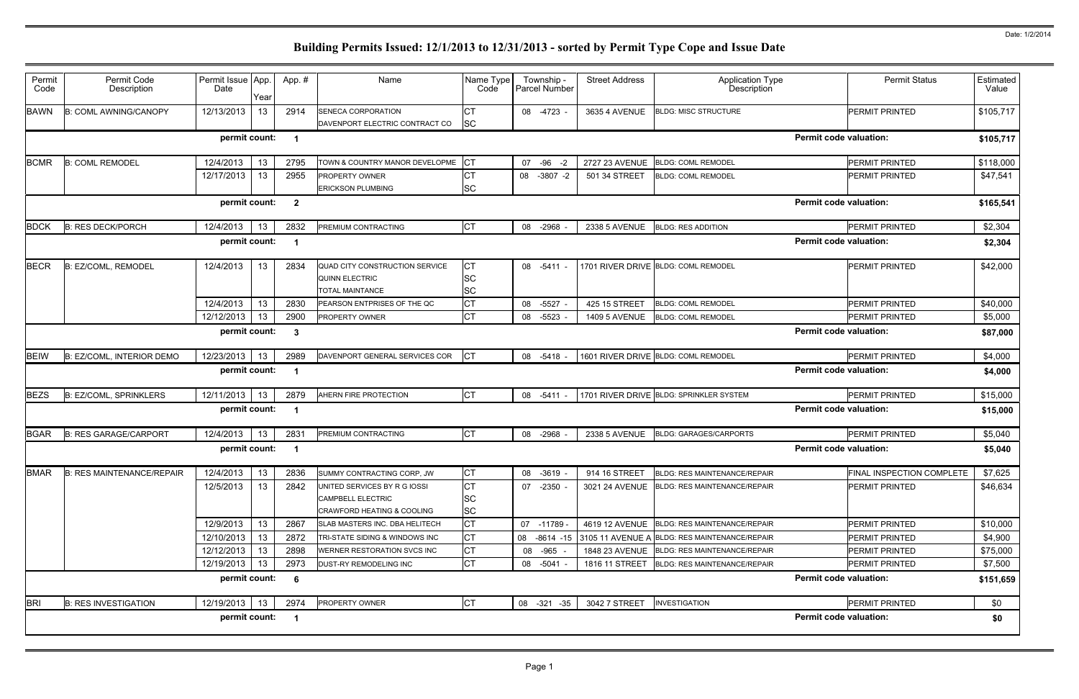|                               | <b>Permit Status</b>      | Estimated<br>Value |
|-------------------------------|---------------------------|--------------------|
|                               | <b>PERMIT PRINTED</b>     | \$105,717          |
| <b>Permit code valuation:</b> |                           | \$105,717          |
|                               | <b>PERMIT PRINTED</b>     | \$118,000          |
|                               | <b>PERMIT PRINTED</b>     | \$47,541           |
| <b>Permit code valuation:</b> |                           | \$165,541          |
|                               | PERMIT PRINTED            | \$2,304            |
| <b>Permit code valuation:</b> |                           | \$2,304            |
|                               | PERMIT PRINTED            | \$42,000           |
|                               | PERMIT PRINTED            | \$40,000           |
|                               | <b>PERMIT PRINTED</b>     | \$5,000            |
| <b>Permit code valuation:</b> |                           | \$87,000           |
|                               | PERMIT PRINTED            | \$4,000            |
| <b>Permit code valuation:</b> |                           | \$4,000            |
|                               | PERMIT PRINTED            | \$15,000           |
| <b>Permit code valuation:</b> |                           | \$15,000           |
|                               | PERMIT PRINTED            | \$5,040            |
| <b>Permit code valuation:</b> |                           | \$5,040            |
|                               | FINAL INSPECTION COMPLETE | \$7,625            |
|                               | <b>PERMIT PRINTED</b>     | \$46,634           |
|                               | PERMIT PRINTED            | \$10,000           |
|                               | PERMIT PRINTED            | \$4,900            |
|                               | PERMIT PRINTED            | \$75,000           |
|                               | PERMIT PRINTED            | \$7,500            |
| <b>Permit code valuation:</b> |                           | \$151,659          |
|                               | PERMIT PRINTED            | \$0                |
| <b>Permit code valuation:</b> |                           | \$0                |

| Permit<br>Code | Permit Code<br>Description       | Permit Issue App.<br>Date | Year            | App. #                  | Name                                                                                              | Name Type<br>Code                   | Township -<br><b>Parcel Number</b> | <b>Street Address</b> | <b>Application Type</b><br>Description                     |                               | <b>Permit Status</b>      | Estimated<br>Value |
|----------------|----------------------------------|---------------------------|-----------------|-------------------------|---------------------------------------------------------------------------------------------------|-------------------------------------|------------------------------------|-----------------------|------------------------------------------------------------|-------------------------------|---------------------------|--------------------|
| <b>BAWN</b>    | <b>B: COML AWNING/CANOPY</b>     | 12/13/2013                | 13              | 2914                    | <b>SENECA CORPORATION</b><br>DAVENPORT ELECTRIC CONTRACT CO                                       | IСТ<br><b>SC</b>                    | 08 -4723 -                         | 3635 4 AVENUE         | <b>BLDG: MISC STRUCTURE</b>                                |                               | <b>PERMIT PRINTED</b>     | \$105,717          |
|                |                                  | permit count:             |                 | $\overline{\mathbf{1}}$ |                                                                                                   |                                     |                                    |                       |                                                            | <b>Permit code valuation:</b> |                           | \$105,717          |
| <b>BCMR</b>    | <b>B: COML REMODEL</b>           | 12/4/2013                 | 13 <sup>°</sup> | 2795                    | TOWN & COUNTRY MANOR DEVELOPME                                                                    | CT                                  | 07 - 96 - 2                        | 2727 23 AVENUE        | <b>BLDG: COML REMODEL</b>                                  |                               | <b>PERMIT PRINTED</b>     | \$118,000          |
|                |                                  | 12/17/2013                | 13              | 2955                    | PROPERTY OWNER<br><b>ERICKSON PLUMBING</b>                                                        | <b>CT</b><br><b>SC</b>              | 08 -3807 -2                        | 501 34 STREET         | <b>BLDG: COML REMODEL</b>                                  |                               | <b>PERMIT PRINTED</b>     | \$47,541           |
|                |                                  | permit count:             |                 | $\overline{\mathbf{2}}$ |                                                                                                   |                                     |                                    |                       |                                                            | <b>Permit code valuation:</b> |                           | \$165,541          |
| <b>BDCK</b>    | <b>B: RES DECK/PORCH</b>         | 12/4/2013                 | 13              | 2832                    | PREMIUM CONTRACTING                                                                               | <b>CT</b>                           | 08 -2968                           |                       | 2338 5 AVENUE BLDG: RES ADDITION                           |                               | PERMIT PRINTED            | \$2,304            |
|                |                                  | permit count:             |                 | -1                      |                                                                                                   |                                     |                                    |                       |                                                            | <b>Permit code valuation:</b> |                           | \$2,304            |
| <b>BECR</b>    | B: EZ/COML, REMODEL              | 12/4/2013                 | 13 <sup>°</sup> | 2834                    | QUAD CITY CONSTRUCTION SERVICE<br>QUINN ELECTRIC<br><b>TOTAL MAINTANCE</b>                        | <b>CT</b><br><b>SC</b><br><b>SC</b> | 08 -5411 -                         |                       | 1701 RIVER DRIVE BLDG: COML REMODEL                        |                               | PERMIT PRINTED            | \$42,000           |
|                |                                  | 12/4/2013                 | 13              | 2830                    | PEARSON ENTPRISES OF THE QC                                                                       | <b>CT</b>                           | 08<br>-5527                        | 425 15 STREET         | <b>BLDG: COML REMODEL</b>                                  |                               | <b>PERMIT PRINTED</b>     | \$40,000           |
|                |                                  | 12/12/2013                | 13              | 2900                    | <b>PROPERTY OWNER</b>                                                                             | IСТ                                 | 08 -5523                           | <b>1409 5 AVENUE</b>  | <b>BLDG: COML REMODEL</b>                                  |                               | PERMIT PRINTED            | \$5,000            |
|                |                                  | permit count:             |                 | -3                      |                                                                                                   |                                     |                                    |                       |                                                            | <b>Permit code valuation:</b> |                           | \$87,000           |
| <b>BEIW</b>    | B: EZ/COML, INTERIOR DEMO        | 12/23/2013                | 13              | 2989                    | DAVENPORT GENERAL SERVICES COR                                                                    | <b>CT</b>                           | 08 -5418 -                         |                       | 1601 RIVER DRIVE BLDG: COML REMODEL                        |                               | PERMIT PRINTED            | \$4,000            |
|                |                                  | permit count:             |                 | - 1                     |                                                                                                   |                                     |                                    |                       |                                                            | <b>Permit code valuation:</b> |                           | \$4,000            |
| <b>BEZS</b>    | <b>B: EZ/COML, SPRINKLERS</b>    | 12/11/2013                | 13              | 2879                    | AHERN FIRE PROTECTION                                                                             | <b>CT</b>                           | 08 -5411 -                         |                       | 1701 RIVER DRIVE BLDG: SPRINKLER SYSTEM                    |                               | PERMIT PRINTED            | \$15,000           |
|                |                                  | permit count:             |                 | -1                      |                                                                                                   |                                     |                                    |                       |                                                            | <b>Permit code valuation:</b> |                           | \$15,000           |
| <b>BGAR</b>    | <b>B: RES GARAGE/CARPORT</b>     | 12/4/2013                 | 13              | 2831                    | PREMIUM CONTRACTING                                                                               | <b>CT</b>                           | 08 -2968                           | 2338 5 AVENUE         | <b>BLDG: GARAGES/CARPORTS</b>                              |                               | PERMIT PRINTED            | \$5,040            |
|                |                                  | permit count:             |                 | $\overline{\mathbf{1}}$ |                                                                                                   |                                     |                                    |                       |                                                            | <b>Permit code valuation:</b> |                           | \$5,040            |
| <b>BMAR</b>    | <b>B: RES MAINTENANCE/REPAIR</b> | 12/4/2013                 | 13              | 2836                    | SUMMY CONTRACTING CORP, JW                                                                        | IСТ                                 | 08 -3619 -                         | 914 16 STREET         | BLDG: RES MAINTENANCE/REPAIR                               |                               | FINAL INSPECTION COMPLETE | \$7,625            |
|                |                                  | 12/5/2013                 | 13              | 2842                    | UNITED SERVICES BY R G IOSSI<br><b>CAMPBELL ELECTRIC</b><br><b>CRAWFORD HEATING &amp; COOLING</b> | IСТ<br><b>SC</b><br><b>SC</b>       | 07 -2350 -                         |                       | 3021 24 AVENUE BLDG: RES MAINTENANCE/REPAIR                |                               | PERMIT PRINTED            | \$46,634           |
|                |                                  | 12/9/2013                 | 13              | 2867                    | SLAB MASTERS INC. DBA HELITECH                                                                    | Iст                                 | 07 -11789 -                        |                       | 4619 12 AVENUE BLDG: RES MAINTENANCE/REPAIR                |                               | <b>PERMIT PRINTED</b>     | \$10,000           |
|                |                                  | 12/10/2013                | 13              | 2872                    | TRI-STATE SIDING & WINDOWS INC                                                                    | <b>CT</b>                           |                                    |                       | 08 -8614 -15 3105 11 AVENUE A BLDG: RES MAINTENANCE/REPAIR |                               | <b>PERMIT PRINTED</b>     | \$4,900            |
|                |                                  | 12/12/2013                | 13              | 2898                    | WERNER RESTORATION SVCS INC                                                                       | IСТ                                 | 08 - 965 -                         |                       | 1848 23 AVENUE BLDG: RES MAINTENANCE/REPAIR                |                               | PERMIT PRINTED            | \$75,000           |
|                |                                  | 12/19/2013                | 13              | 2973                    | DUST-RY REMODELING INC                                                                            | <b>CT</b>                           | 08 -5041 -                         |                       | 1816 11 STREET BLDG: RES MAINTENANCE/REPAIR                |                               | PERMIT PRINTED            | \$7,500            |
|                |                                  | permit count:             |                 | - 6                     |                                                                                                   |                                     |                                    |                       |                                                            | <b>Permit code valuation:</b> |                           | \$151,659          |
| <b>BRI</b>     | <b>B: RES INVESTIGATION</b>      | 12/19/2013                | 13              | 2974                    | PROPERTY OWNER                                                                                    | <b>CT</b>                           | 08 -321 -35                        | 3042 7 STREET         | <b>INVESTIGATION</b>                                       |                               | PERMIT PRINTED            | \$0                |
|                |                                  | permit count:             |                 | $\overline{\mathbf{1}}$ |                                                                                                   |                                     |                                    |                       |                                                            | <b>Permit code valuation:</b> |                           | \$0                |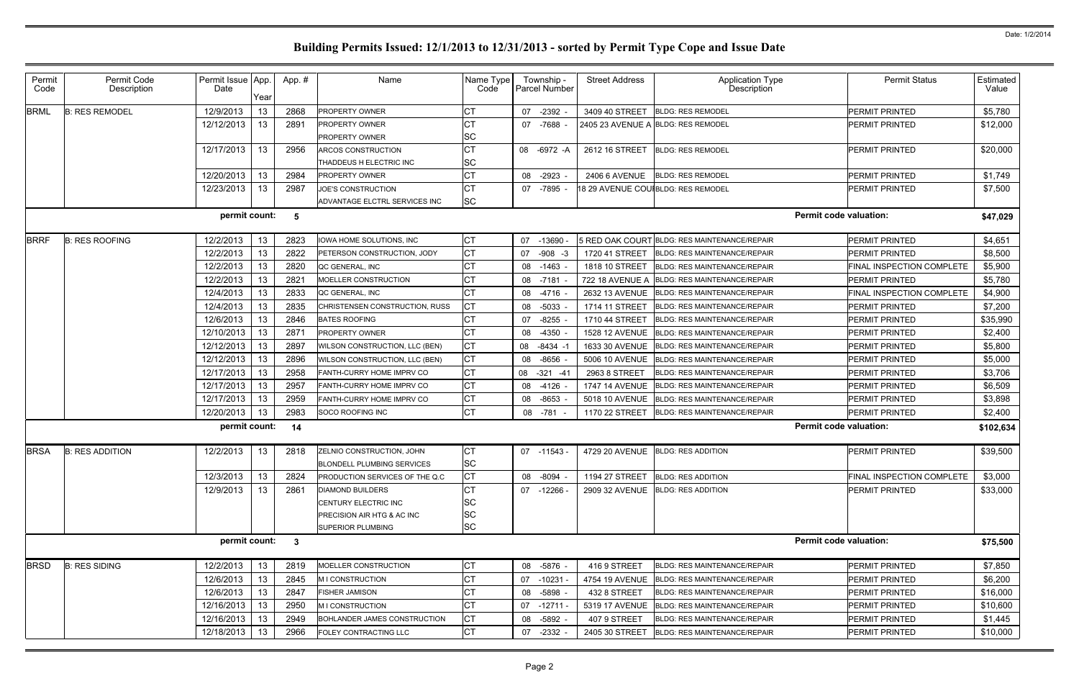|                               | <b>Permit Status</b>             | Estimated<br>Value |
|-------------------------------|----------------------------------|--------------------|
|                               | <b>PERMIT PRINTED</b>            | \$5,780            |
|                               | PERMIT PRINTED                   | \$12,000           |
|                               | <b>PERMIT PRINTED</b>            | \$20,000           |
|                               | <b>PERMIT PRINTED</b>            | \$1,749            |
|                               | PERMIT PRINTED                   | \$7,500            |
| <b>Permit code valuation:</b> |                                  | \$47,029           |
|                               | PERMIT PRINTED                   | \$4,651            |
|                               | PERMIT PRINTED                   | \$8,500            |
|                               | <b>FINAL INSPECTION COMPLETE</b> | \$5,900            |
|                               | PERMIT PRINTED                   | \$5,780            |
|                               | <b>FINAL INSPECTION COMPLETE</b> | \$4,900            |
|                               | <b>PERMIT PRINTED</b>            | \$7,200            |
|                               | PERMIT PRINTED                   | \$35,990           |
|                               | <b>PERMIT PRINTED</b>            | \$2,400            |
|                               | PERMIT PRINTED                   | \$5,800            |
|                               | <b>PERMIT PRINTED</b>            | \$5,000            |
|                               | PERMIT PRINTED                   | \$3,706            |
|                               | <b>PERMIT PRINTED</b>            | \$6,509            |
|                               | PERMIT PRINTED                   | \$3,898            |
|                               | <b>PERMIT PRINTED</b>            | \$2,400            |
| <b>Permit code valuation:</b> |                                  | \$102,634          |
|                               | PERMIT PRINTED                   | \$39,500           |
|                               | FINAL INSPECTION COMPLETE        | \$3,000            |
|                               | PERMIT PRINTED                   | \$33,000           |
| <b>Permit code valuation:</b> |                                  | \$75,500           |
|                               | PERMIT PRINTED                   | \$7,850            |
|                               | PERMIT PRINTED                   | \$6,200            |
|                               | PERMIT PRINTED                   | \$16,000           |
|                               | PERMIT PRINTED                   | \$10,600           |
|                               | <b>PERMIT PRINTED</b>            | \$1,445            |
|                               | PERMIT PRINTED                   | \$10,000           |

| Permit<br>Code | Permit Code<br>Description | Permit Issue App.<br>Date | Year            | App.#        | Name                                                           | Name Type<br>Code | Township -<br><b>Parcel Number</b> | <b>Street Address</b>  | <b>Application Type</b><br>Description       | <b>Permit Status</b>          | Estimatec<br>Value |
|----------------|----------------------------|---------------------------|-----------------|--------------|----------------------------------------------------------------|-------------------|------------------------------------|------------------------|----------------------------------------------|-------------------------------|--------------------|
| <b>BRML</b>    | <b>B: RES REMODEL</b>      | 12/9/2013                 | 13              | 2868         | PROPERTY OWNER                                                 | СT                | 07 -2392                           | 3409 40 STREET         | <b>BLDG: RES REMODEL</b>                     | PERMIT PRINTED                | \$5,780            |
|                |                            | 12/12/2013                | 13              | 2891         | <b>PROPERTY OWNER</b>                                          | IСТ               | 07 -7688 -                         | 2405 23 AVENUE A       | <b>BLDG: RES REMODEL</b>                     | <b>PERMIT PRINTED</b>         | \$12,000           |
|                |                            |                           |                 |              | <b>PROPERTY OWNER</b>                                          | <b>SC</b>         |                                    |                        |                                              |                               |                    |
|                |                            | 12/17/2013                | 13              | 2956         | ARCOS CONSTRUCTION                                             | <b>CT</b>         | 08 - 6972 - A                      | 2612 16 STREET         | <b>BLDG: RES REMODEL</b>                     | <b>PERMIT PRINTED</b>         | \$20,000           |
|                |                            |                           |                 |              | THADDEUS H ELECTRIC INC                                        | <b>SC</b>         |                                    |                        |                                              |                               |                    |
|                |                            | 12/20/2013                | 13              | 2984         | <b>PROPERTY OWNER</b>                                          | <b>CT</b>         | 08 -2923 -                         | 2406 6 AVENUE          | <b>BLDG: RES REMODEL</b>                     | <b>PERMIT PRINTED</b>         | \$1,749            |
|                |                            | 12/23/2013                | 13              | 2987         | <b>JOE'S CONSTRUCTION</b>                                      | IСТ               | 07 -7895                           |                        | 18 29 AVENUE COU BLDG: RES REMODEL           | <b>PERMIT PRINTED</b>         | \$7,500            |
|                |                            |                           |                 |              | ADVANTAGE ELCTRL SERVICES INC                                  | <b>SC</b>         |                                    |                        |                                              |                               |                    |
|                |                            | permit count:             |                 | -5           |                                                                |                   |                                    |                        |                                              | <b>Permit code valuation:</b> | \$47,029           |
| <b>BRRF</b>    | <b>B: RES ROOFING</b>      | 12/2/2013                 | 13              | 2823         | IOWA HOME SOLUTIONS, INC                                       | <b>CT</b>         | 07 -13690                          |                        | 5 RED OAK COURT BLDG: RES MAINTENANCE/REPAIR | <b>PERMIT PRINTED</b>         | \$4,651            |
|                |                            | 12/2/2013                 | 13              | 2822         | <b>PETERSON CONSTRUCTION. JODY</b>                             | IСТ               | $-908 - 3$<br>07                   | 1720 41 STREET         | <b>BLDG: RES MAINTENANCE/REPAIR</b>          | <b>PERMIT PRINTED</b>         | \$8,500            |
|                |                            | 12/2/2013                 | 13              | 2820         | QC GENERAL. INC                                                | СT                | 08 -1463                           | 1818 10 STREET         | <b>BLDG: RES MAINTENANCE/REPAIR</b>          | FINAL INSPECTION COMPLETE     | \$5,900            |
|                |                            | 12/2/2013                 | 13.             | 2821         | MOELLER CONSTRUCTION                                           | <b>CT</b>         | 08 -7181                           | <b>722 18 AVENUE A</b> | <b>BLDG: RES MAINTENANCE/REPAIR</b>          | <b>PERMIT PRINTED</b>         | \$5,780            |
|                |                            | 12/4/2013                 | 13              | 2833         | QC GENERAL, INC                                                | СT                | 08 -4716 -                         | 2632 13 AVENUE         | <b>BLDG: RES MAINTENANCE/REPAIR</b>          | FINAL INSPECTION COMPLETE     | \$4,900            |
|                |                            | 12/4/2013                 | 13              | 2835         | CHRISTENSEN CONSTRUCTION, RUSS                                 | C <sub>1</sub>    | 08 -5033                           | 1714 11 STREET         | <b>BLDG: RES MAINTENANCE/REPAIR</b>          | <b>PERMIT PRINTED</b>         | \$7,200            |
|                |                            | 12/6/2013                 | 13              | 2846         | <b>BATES ROOFING</b>                                           | СT                | 07 -8255                           | 1710 44 STREET         | <b>BLDG: RES MAINTENANCE/REPAIR</b>          | <b>PERMIT PRINTED</b>         | \$35,990           |
|                |                            | 12/10/2013                | 13.             | 2871         | <b>PROPERTY OWNER</b>                                          | C <sub>1</sub>    | 08 -4350                           | 1528 12 AVENUE         | <b>BLDG: RES MAINTENANCE/REPAIR</b>          | PERMIT PRINTED                | \$2,400            |
|                |                            | 12/12/2013                | 13              | 2897         | WILSON CONSTRUCTION, LLC (BEN)                                 | IСТ               | 08 -8434 -1                        | 1633 30 AVENUE         | <b>BLDG: RES MAINTENANCE/REPAIR</b>          | <b>PERMIT PRINTED</b>         | \$5,800            |
|                |                            | 12/12/2013                | 13.             | 2896         | WILSON CONSTRUCTION, LLC (BEN)                                 | IСТ               | 08 -8656                           | 5006 10 AVENUE         | <b>BLDG: RES MAINTENANCE/REPAIR</b>          | PERMIT PRINTED                | \$5,000            |
|                |                            | 12/17/2013                | 13              | 2958         | FANTH-CURRY HOME IMPRV CO                                      | <b>CT</b>         | 08 -321 -41                        | 2963 8 STREET          | <b>BLDG: RES MAINTENANCE/REPAIR</b>          | <b>PERMIT PRINTED</b>         | \$3,706            |
|                |                            | 12/17/2013                | 13              | 2957         | FANTH-CURRY HOME IMPRV CO                                      | <b>CT</b>         | 08 -4126                           | <b>1747 14 AVENUE</b>  | <b>BLDG: RES MAINTENANCE/REPAIR</b>          | PERMIT PRINTED                | \$6,509            |
|                |                            | 12/17/2013                | 13              | 2959         | FANTH-CURRY HOME IMPRV CO                                      | СT                | 08 -8653                           | 5018 10 AVENUE         | <b>BLDG: RES MAINTENANCE/REPAIR</b>          | <b>PERMIT PRINTED</b>         | \$3,898            |
|                |                            | 12/20/2013                | 13.             | 2983         | SOCO ROOFING INC                                               | IСТ               | 08 -781 -                          | 1170 22 STREET         | <b>BLDG: RES MAINTENANCE/REPAIR</b>          | <b>PERMIT PRINTED</b>         | \$2,400            |
|                |                            | permit count:             |                 | 14           |                                                                |                   |                                    |                        |                                              | <b>Permit code valuation:</b> | \$102,634          |
| <b>BRSA</b>    | <b>B: RES ADDITION</b>     | 12/2/2013                 | 13 <sup>°</sup> | 2818         | ZELNIO CONSTRUCTION, JOHN<br><b>BLONDELL PLUMBING SERVICES</b> | СT<br><b>SC</b>   | 07 -11543 -                        | 4729 20 AVENUE         | <b>BLDG: RES ADDITION</b>                    | <b>PERMIT PRINTED</b>         | \$39,500           |
|                |                            | 12/3/2013                 | 13              | 2824         | PRODUCTION SERVICES OF THE Q.C.                                | IСТ               | 08 -8094 -                         | 1194 27 STREET         | <b>BLDG: RES ADDITION</b>                    | FINAL INSPECTION COMPLETE     | \$3,000            |
|                |                            | 12/9/2013                 | 13              | 2861         | <b>DIAMOND BUILDERS</b>                                        | IСТ               | 07 -12266 -                        |                        | 2909 32 AVENUE BLDG: RES ADDITION            | <b>PERMIT PRINTED</b>         | \$33,000           |
|                |                            |                           |                 |              | CENTURY ELECTRIC INC                                           | <b>SC</b>         |                                    |                        |                                              |                               |                    |
|                |                            |                           |                 |              | <b>PRECISION AIR HTG &amp; AC INC</b>                          | <b>SC</b>         |                                    |                        |                                              |                               |                    |
|                |                            |                           |                 |              | SUPERIOR PLUMBING                                              | <b>SC</b>         |                                    |                        |                                              |                               |                    |
|                |                            | permit count:             |                 | $\mathbf{3}$ |                                                                |                   |                                    |                        |                                              | <b>Permit code valuation:</b> | \$75,500           |
| <b>BRSD</b>    | <b>B: RES SIDING</b>       | 12/2/2013                 | 13              | 2819         | MOELLER CONSTRUCTION                                           | <b>CT</b>         | 08 -5876 -                         | 4169 STREET            | <b>BLDG: RES MAINTENANCE/REPAIR</b>          | PERMIT PRINTED                | \$7,850            |
|                |                            | 12/6/2013                 | 13              | 2845         | M I CONSTRUCTION                                               | СT                | 07 -10231                          | 4754 19 AVENUE         | <b>BLDG: RES MAINTENANCE/REPAIR</b>          | PERMIT PRINTED                | \$6,200            |
|                |                            | 12/6/2013                 | 13.             | 2847         | <b>FISHER JAMISON</b>                                          | C <sub>1</sub>    | 08 -5898 -                         | 432 8 STREET           | <b>BLDG: RES MAINTENANCE/REPAIR</b>          | <b>PERMIT PRINTED</b>         | \$16,000           |
|                |                            | 12/16/2013                | 13              | 2950         | M I CONSTRUCTION                                               | СT                | $07 - 12711 -$                     | 5319 17 AVENUE         | <b>BLDG: RES MAINTENANCE/REPAIR</b>          | PERMIT PRINTED                | \$10,600           |
|                |                            | 12/16/2013                | 13              | 2949         | BOHLANDER JAMES CONSTRUCTION                                   | Iст               | 08 -5892 -                         | 407 9 STREET           | <b>BLDG: RES MAINTENANCE/REPAIR</b>          | <b>PERMIT PRINTED</b>         | \$1,445            |
|                |                            | 12/18/2013                | 13              | 2966         | FOLEY CONTRACTING LLC                                          | <b>CT</b>         | 07 -2332 -                         | 2405 30 STREET         | <b>BLDG: RES MAINTENANCE/REPAIR</b>          | PERMIT PRINTED                | \$10,000           |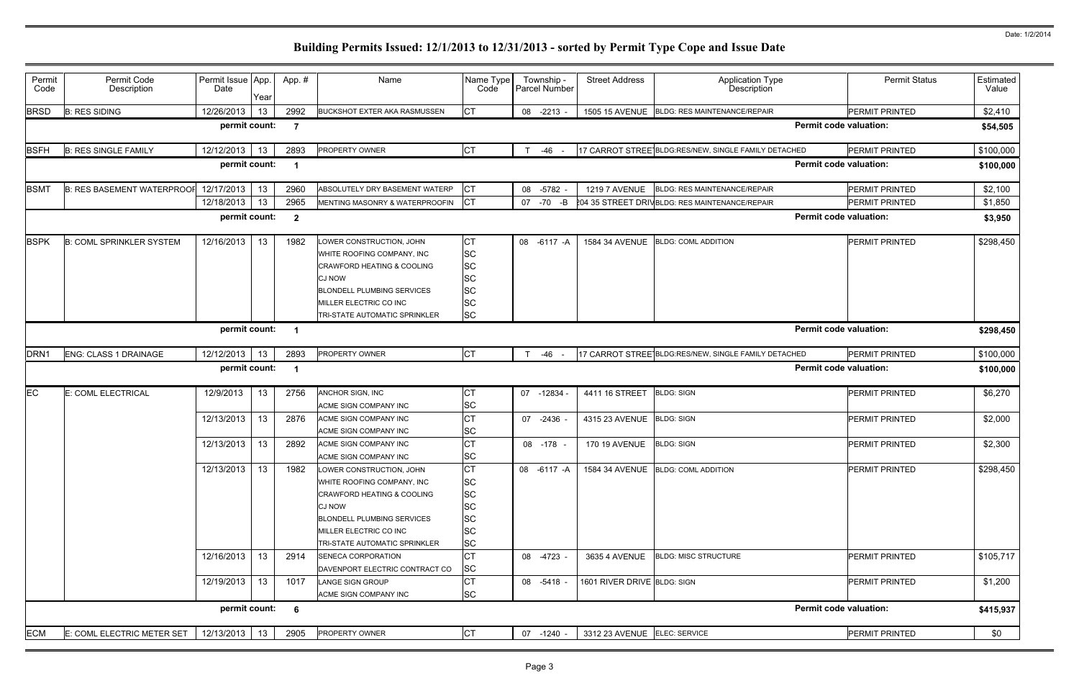|                               | <b>Permit Status</b>  | Estimated<br>Value |
|-------------------------------|-----------------------|--------------------|
|                               | PERMIT PRINTED        | \$2,410            |
| <b>Permit code valuation:</b> |                       | \$54,505           |
| CHED                          | PERMIT PRINTED        | \$100,000          |
| <b>Permit code valuation:</b> |                       | \$100,000          |
|                               | PERMIT PRINTED        | \$2,100            |
|                               | PERMIT PRINTED        | \$1,850            |
| <b>Permit code valuation:</b> |                       | \$3,950            |
|                               | PERMIT PRINTED        | \$298,450          |
| <b>Permit code valuation:</b> |                       | \$298,450          |
| CHED                          | PERMIT PRINTED        | \$100,000          |
| <b>Permit code valuation:</b> |                       | \$100,000          |
|                               | <b>PERMIT PRINTED</b> | \$6,270            |
|                               | <b>PERMIT PRINTED</b> | \$2,000            |
|                               | PERMIT PRINTED        |                    |
|                               |                       | \$2,300            |
|                               | PERMIT PRINTED        | \$298,450          |
|                               | PERMIT PRINTED        | \$105,717          |
|                               | <b>PERMIT PRINTED</b> | \$1,200            |
| <b>Permit code valuation:</b> |                       | \$415,937          |
|                               | PERMIT PRINTED        | \$0                |

| Permit<br>Code   | Permit Code<br>Description        | Permit Issue App.<br>Date | Year            | App. #         | Name                                                                                                                                                                                                      | Name Type<br>Code                                                                 | Township -<br><b>Parcel Number</b> | <b>Street Address</b>        | <b>Application Type</b><br>Description               | <b>Permit Status</b>          | Estimated<br>Value |
|------------------|-----------------------------------|---------------------------|-----------------|----------------|-----------------------------------------------------------------------------------------------------------------------------------------------------------------------------------------------------------|-----------------------------------------------------------------------------------|------------------------------------|------------------------------|------------------------------------------------------|-------------------------------|--------------------|
| <b>BRSD</b>      | <b>B: RES SIDING</b>              | 12/26/2013                | 13 <sup>°</sup> | 2992           | <b>BUCKSHOT EXTER AKA RASMUSSEN</b>                                                                                                                                                                       | <b>CT</b>                                                                         | 08 -2213 -                         |                              | 1505 15 AVENUE BLDG: RES MAINTENANCE/REPAIR          | PERMIT PRINTED                | \$2,410            |
|                  |                                   | permit count:             |                 | -7             |                                                                                                                                                                                                           |                                                                                   |                                    |                              |                                                      | <b>Permit code valuation:</b> | \$54,505           |
| <b>BSFH</b>      | <b>B: RES SINGLE FAMILY</b>       | 12/12/2013                | 13              | 2893           | PROPERTY OWNER                                                                                                                                                                                            | <b>CT</b>                                                                         | $-46 -$                            |                              | 17 CARROT STREE BLDG:RES/NEW, SINGLE FAMILY DETACHED | PERMIT PRINTED                | \$100,000          |
|                  |                                   | permit count:             |                 | -1             |                                                                                                                                                                                                           |                                                                                   |                                    |                              |                                                      | <b>Permit code valuation:</b> | \$100,000          |
| <b>BSMT</b>      | <b>B: RES BASEMENT WATERPROOF</b> | 12/17/2013                | 13              | 2960           | ABSOLUTELY DRY BASEMENT WATERP                                                                                                                                                                            | <b>CT</b>                                                                         | 08 - 5782                          | <b>1219 7 AVENUE</b>         | <b>BLDG: RES MAINTENANCE/REPAIR</b>                  | <b>PERMIT PRINTED</b>         | \$2,100            |
|                  |                                   | 12/18/2013                | 13              | 2965           | MENTING MASONRY & WATERPROOFIN                                                                                                                                                                            | IСТ                                                                               | 07 - 70 - B                        |                              | 204 35 STREET DRIVBLDG: RES MAINTENANCE/REPAIR       | <b>PERMIT PRINTED</b>         | \$1,850            |
|                  |                                   | permit count:             |                 | $\overline{2}$ |                                                                                                                                                                                                           |                                                                                   |                                    |                              |                                                      | <b>Permit code valuation:</b> | \$3,950            |
| <b>BSPK</b>      | <b>B: COML SPRINKLER SYSTEM</b>   | 12/16/2013                | 13              | 1982           | LOWER CONSTRUCTION, JOHN<br>WHITE ROOFING COMPANY, INC<br>CRAWFORD HEATING & COOLING<br>CJ NOW<br><b>BLONDELL PLUMBING SERVICES</b><br>MILLER ELECTRIC CO INC<br>TRI-STATE AUTOMATIC SPRINKLER            | СT<br><b>SC</b><br><b>SC</b><br><b>SC</b><br><b>SC</b><br><b>SC</b><br><b>SC</b>  | 08 -6117 -A                        | 1584 34 AVENUE               | <b>BLDG: COML ADDITION</b>                           | <b>PERMIT PRINTED</b>         | \$298,450          |
|                  |                                   | permit count:             |                 |                |                                                                                                                                                                                                           |                                                                                   |                                    |                              |                                                      | <b>Permit code valuation:</b> | \$298,450          |
| DRN <sub>1</sub> | <b>ENG: CLASS 1 DRAINAGE</b>      | 12/12/2013                | 13              | 2893           | <b>PROPERTY OWNER</b>                                                                                                                                                                                     | <b>CT</b>                                                                         | -46                                |                              | 17 CARROT STREE BLDG:RES/NEW, SINGLE FAMILY DETACHED | PERMIT PRINTED                | \$100,000          |
|                  |                                   | permit count:             |                 |                |                                                                                                                                                                                                           |                                                                                   |                                    |                              |                                                      | <b>Permit code valuation:</b> | \$100,000          |
| EC               | E: COML ELECTRICAL                | 12/9/2013                 | 13              | 2756           | ANCHOR SIGN, INC<br>ACME SIGN COMPANY INC                                                                                                                                                                 | <b>CT</b><br><b>SC</b>                                                            | 07 -12834                          | 4411 16 STREET               | <b>BLDG: SIGN</b>                                    | PERMIT PRINTED                | \$6,270            |
|                  |                                   | 12/13/2013                | 13 <sup>°</sup> | 2876           | ACME SIGN COMPANY INC<br>ACME SIGN COMPANY INC                                                                                                                                                            | <b>CT</b><br><b>SC</b>                                                            | 07 -2436 -                         | 4315 23 AVENUE               | <b>BLDG: SIGN</b>                                    | <b>PERMIT PRINTED</b>         | \$2,000            |
|                  |                                   | 12/13/2013                | 13              | 2892           | ACME SIGN COMPANY INC<br>ACME SIGN COMPANY INC                                                                                                                                                            | lст<br><b>SC</b>                                                                  | 08 -178 -                          | <b>170 19 AVENUE</b>         | <b>BLDG: SIGN</b>                                    | <b>PERMIT PRINTED</b>         | \$2,300            |
|                  |                                   | 12/13/2013   13           |                 | 1982           | LOWER CONSTRUCTION, JOHN<br>WHITE ROOFING COMPANY, INC<br><b>CRAWFORD HEATING &amp; COOLING</b><br>CJ NOW<br><b>BLONDELL PLUMBING SERVICES</b><br>MILLER ELECTRIC CO INC<br>TRI-STATE AUTOMATIC SPRINKLER | IСТ<br><b>SC</b><br><b>SC</b><br><b>SC</b><br><b>SC</b><br><b>SC</b><br><b>SC</b> |                                    |                              | 08 -6117 -A   1584 34 AVENUE   BLDG: COML ADDITION   | <b>PERMIT PRINTED</b>         | \$298,450          |
|                  |                                   | 12/16/2013                | 13              | 2914           | <b>SENECA CORPORATION</b><br>DAVENPORT ELECTRIC CONTRACT CO                                                                                                                                               | lст<br><b>SC</b>                                                                  | 08 -4723 -                         | 3635 4 AVENUE                | <b>BLDG: MISC STRUCTURE</b>                          | <b>PERMIT PRINTED</b>         | \$105,717          |
|                  |                                   | 12/19/2013                | 13              | 1017           | <b>LANGE SIGN GROUP</b><br>ACME SIGN COMPANY INC                                                                                                                                                          | <b>CT</b><br><b>SC</b>                                                            | 08 -5418 -                         | 1601 RIVER DRIVE BLDG: SIGN  |                                                      | PERMIT PRINTED                | \$1,200            |
|                  |                                   | permit count:             |                 | 6              |                                                                                                                                                                                                           |                                                                                   |                                    |                              |                                                      | <b>Permit code valuation:</b> | \$415,937          |
| <b>ECM</b>       | E: COML ELECTRIC METER SET        | 12/13/2013                | 13              | 2905           | PROPERTY OWNER                                                                                                                                                                                            | <b>CT</b>                                                                         | 07 -1240 -                         | 3312 23 AVENUE ELEC: SERVICE |                                                      | PERMIT PRINTED                | \$0                |
|                  |                                   |                           |                 |                |                                                                                                                                                                                                           |                                                                                   |                                    |                              |                                                      |                               |                    |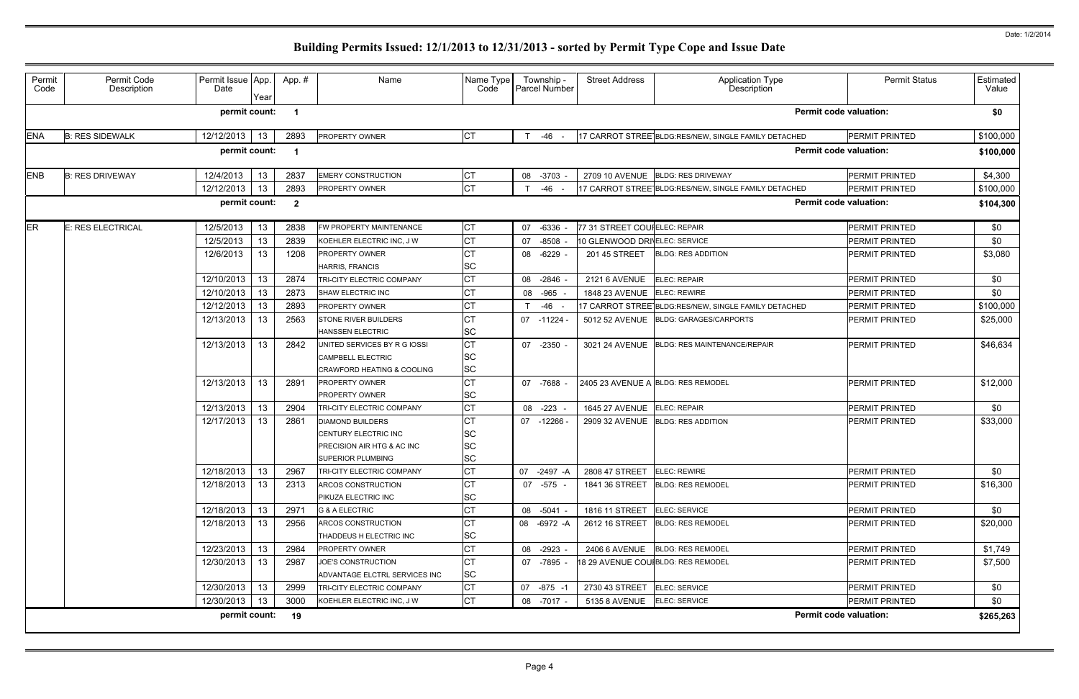| Permit<br>Code | Permit Code<br>Description | Permit Issue App.<br>Date | Year | App.#          | Name                                                                                                             | Name Type<br>Code                          | Township -<br><b>Parcel Number</b> | <b>Street Address</b>              | Application Type<br>Description                      | <b>Permit Status</b>          | Estimated<br>Value |
|----------------|----------------------------|---------------------------|------|----------------|------------------------------------------------------------------------------------------------------------------|--------------------------------------------|------------------------------------|------------------------------------|------------------------------------------------------|-------------------------------|--------------------|
|                |                            | permit count:             |      | -1             |                                                                                                                  |                                            |                                    |                                    |                                                      | <b>Permit code valuation:</b> | \$0                |
| <b>ENA</b>     | <b>B: RES SIDEWALK</b>     | 12/12/2013                | 13   | 2893           | <b>PROPERTY OWNER</b>                                                                                            | IСТ                                        | -46<br>T                           |                                    | 17 CARROT STREE BLDG:RES/NEW, SINGLE FAMILY DETACHED | <b>PERMIT PRINTED</b>         | \$100,000          |
|                |                            | permit count:             |      | -1             |                                                                                                                  |                                            |                                    |                                    |                                                      | <b>Permit code valuation:</b> | \$100,000          |
| <b>ENB</b>     | <b>B: RES DRIVEWAY</b>     | 12/4/2013                 | 13   | 2837           | <b>EMERY CONSTRUCTION</b>                                                                                        | IСТ                                        | $-3703$<br>08                      |                                    | 2709 10 AVENUE BLDG: RES DRIVEWAY                    | PERMIT PRINTED                | \$4,300            |
|                |                            | 12/12/2013                | 13   | 2893           | <b>PROPERTY OWNER</b>                                                                                            | <b>CT</b>                                  | $-46$                              |                                    | 17 CARROT STREE BLDG:RES/NEW, SINGLE FAMILY DETACHED | <b>PERMIT PRINTED</b>         | \$100,000          |
|                |                            | permit count:             |      | $\overline{2}$ |                                                                                                                  |                                            |                                    |                                    |                                                      | <b>Permit code valuation:</b> | \$104,300          |
| <b>ER</b>      | E: RES ELECTRICAL          | 12/5/2013                 | 13   | 2838           | FW PROPERTY MAINTENANCE                                                                                          | <b>CT</b>                                  | 07<br>$-6336$                      | 77 31 STREET COUIELEC: REPAIR      |                                                      | PERMIT PRINTED                | \$0                |
|                |                            | 12/5/2013                 | 13   | 2839           | KOEHLER ELECTRIC INC, J W                                                                                        | lст                                        | 07<br>$-8508$                      | 10 GLENWOOD DRIVELEC: SERVICE      |                                                      | <b>PERMIT PRINTED</b>         | \$0                |
|                |                            | 12/6/2013                 | 13   | 1208           | <b>PROPERTY OWNER</b>                                                                                            | <b>CT</b>                                  | -6229 -<br>08                      | 201 45 STREET                      | <b>BLDG: RES ADDITION</b>                            | <b>PERMIT PRINTED</b>         | \$3,080            |
|                |                            |                           |      |                | <b>HARRIS, FRANCIS</b>                                                                                           | <b>SC</b>                                  |                                    |                                    |                                                      |                               |                    |
|                |                            | 12/10/2013                | 13   | 2874           | TRI-CITY ELECTRIC COMPANY                                                                                        | <b>CT</b>                                  | $-2846$ -<br>08                    | <b>2121 6 AVENUE</b>               | <b>ELEC: REPAIR</b>                                  | <b>PERMIT PRINTED</b>         | \$0                |
|                |                            | 12/10/2013                | 13   | 2873           | SHAW ELECTRIC INC                                                                                                | <b>CT</b>                                  | 08 -965                            | 1848 23 AVENUE                     | <b>ELEC: REWIRE</b>                                  | <b>PERMIT PRINTED</b>         | \$0                |
|                |                            | 12/12/2013                | 13   | 2893           | PROPERTY OWNER                                                                                                   | IСТ                                        | -46                                |                                    | 17 CARROT STREE BLDG:RES/NEW, SINGLE FAMILY DETACHED | PERMIT PRINTED                | \$100,000          |
|                |                            | 12/13/2013                | 13   | 2563           | <b>STONE RIVER BUILDERS</b><br><b>HANSSEN ELECTRIC</b>                                                           | IСТ<br><b>SC</b>                           | $07 - 11224$                       | 5012 52 AVENUE                     | <b>BLDG: GARAGES/CARPORTS</b>                        | <b>PERMIT PRINTED</b>         | \$25,000           |
|                |                            | 12/13/2013                | 13   | 2842           | UNITED SERVICES BY R G IOSSI<br><b>CAMPBELL ELECTRIC</b>                                                         | Iст<br><b>SC</b>                           | 07 -2350 -                         |                                    | 3021 24 AVENUE BLDG: RES MAINTENANCE/REPAIR          | <b>PERMIT PRINTED</b>         | \$46,634           |
|                |                            | 12/13/2013                | 13   | 2891           | <b>CRAWFORD HEATING &amp; COOLING</b><br><b>PROPERTY OWNER</b><br><b>PROPERTY OWNER</b>                          | <b>SC</b><br><b>CT</b><br><b>SC</b>        | 07 -7688 -                         |                                    | 2405 23 AVENUE A BLDG: RES REMODEL                   | PERMIT PRINTED                | \$12,000           |
|                |                            | 12/13/2013                | 13   | 2904           | TRI-CITY ELECTRIC COMPANY                                                                                        | Iст                                        | 08<br>$-223$                       | <b>1645 27 AVENUE</b>              | <b>ELEC: REPAIR</b>                                  | <b>PERMIT PRINTED</b>         | \$0                |
|                |                            | 12/17/2013                | 13   | 2861           | <b>DIAMOND BUILDERS</b><br><b>CENTURY ELECTRIC INC</b><br>PRECISION AIR HTG & AC INC<br><b>SUPERIOR PLUMBING</b> | IСТ<br><b>SC</b><br><b>SC</b><br><b>SC</b> | -12266 -<br>07                     | 2909 32 AVENUE                     | <b>BLDG: RES ADDITION</b>                            | PERMIT PRINTED                | \$33,000           |
|                |                            | 12/18/2013                | 13   | 2967           | TRI-CITY ELECTRIC COMPANY                                                                                        | IСТ                                        | 07 -2497 -A                        | 2808 47 STREET ELEC: REWIRE        |                                                      | <b>PERMIT PRINTED</b>         | \$0                |
|                |                            | 12/18/2013                | 13   | 2313           | ARCOS CONSTRUCTION<br>PIKUZA ELECTRIC INC                                                                        | <b>CT</b><br><b>SC</b>                     | 07 -575 -                          | 1841 36 STREET                     | <b>BLDG: RES REMODEL</b>                             | <b>PERMIT PRINTED</b>         | \$16,300           |
|                |                            | 12/18/2013                | 13   | 2971           | <b>G &amp; A ELECTRIC</b>                                                                                        | <b>CT</b>                                  | 08 -5041 -                         | 1816 11 STREET                     | ELEC: SERVICE                                        | PERMIT PRINTED                | \$0                |
|                |                            | 12/18/2013                | 13   | 2956           | ARCOS CONSTRUCTION<br>THADDEUS H ELECTRIC INC                                                                    | IСТ<br><b>SC</b>                           | 08 - 6972 - A                      | 2612 16 STREET                     | <b>BLDG: RES REMODEL</b>                             | PERMIT PRINTED                | \$20,000           |
|                |                            | 12/23/2013                | 13   | 2984           | <b>PROPERTY OWNER</b>                                                                                            | <b>CT</b>                                  | 08 -2923 -                         |                                    | 2406 6 AVENUE BLDG: RES REMODEL                      | PERMIT PRINTED                | \$1,749            |
|                |                            | 12/30/2013                | 13   | 2987           | JOE'S CONSTRUCTION<br>ADVANTAGE ELCTRL SERVICES INC                                                              | <b>CT</b><br><b>SC</b>                     | 07 -7895 -                         | 18 29 AVENUE COU BLDG: RES REMODEL |                                                      | <b>PERMIT PRINTED</b>         | \$7,500            |
|                |                            | 12/30/2013                | 13   | 2999           | TRI-CITY ELECTRIC COMPANY                                                                                        | <b>CT</b>                                  | 07 -875 -1                         | 2730 43 STREET ELEC: SERVICE       |                                                      | PERMIT PRINTED                | \$0                |
|                |                            | 12/30/2013                | 13   | 3000           | KOEHLER ELECTRIC INC, J W                                                                                        | <b>CT</b>                                  | 08 -7017 -                         | 5135 8 AVENUE ELEC: SERVICE        |                                                      | PERMIT PRINTED                | \$0                |
|                |                            | permit count:             |      | 19             |                                                                                                                  |                                            |                                    |                                    |                                                      | <b>Permit code valuation:</b> | \$265,263          |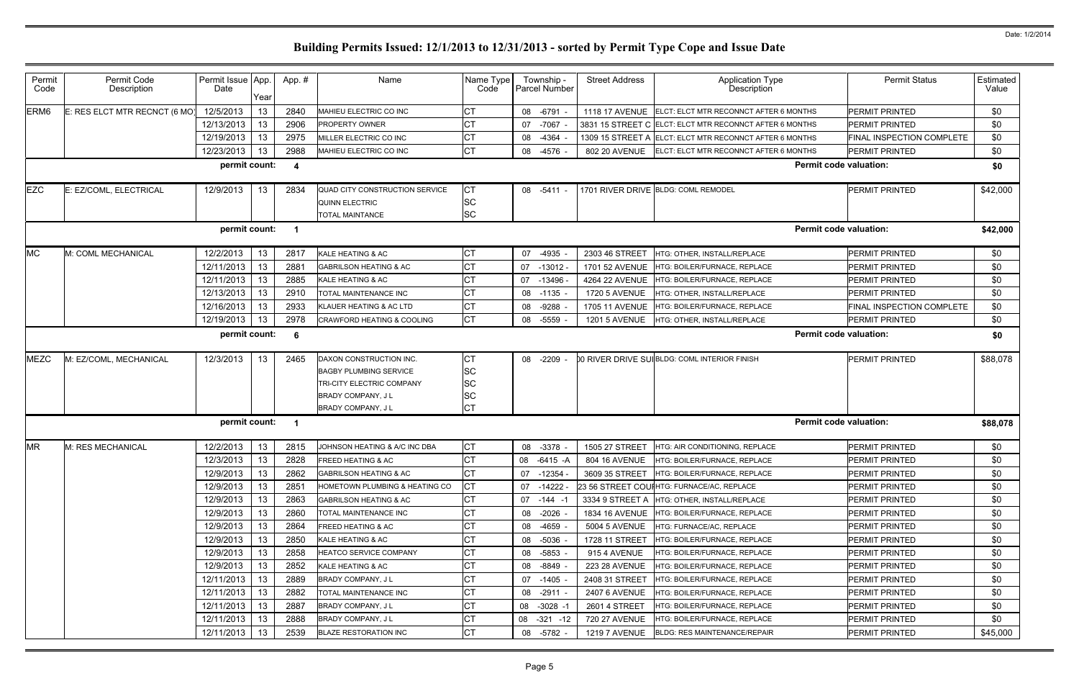|                               | <b>Permit Status</b>      | Estimated<br>Value |
|-------------------------------|---------------------------|--------------------|
| <b><i>IONTHS</i></b>          | PERMIT PRINTED            | \$0                |
| <b><i>IONTHS</i></b>          | PERMIT PRINTED            | \$0                |
| <b><i>IONTHS</i></b>          | FINAL INSPECTION COMPLETE | \$0                |
| <b><i>IONTHS</i></b>          | PERMIT PRINTED            | \$0                |
| <b>Permit code valuation:</b> |                           | \$0                |
|                               | PERMIT PRINTED            | \$42,000           |
| <b>Permit code valuation:</b> |                           | \$42,000           |
|                               | PERMIT PRINTED            | \$0                |
|                               | PERMIT PRINTED            | \$0                |
|                               | PERMIT PRINTED            | \$0                |
|                               | <b>PERMIT PRINTED</b>     | \$0                |
|                               | FINAL INSPECTION COMPLETE | \$0                |
|                               | PERMIT PRINTED            | \$0                |
| <b>Permit code valuation:</b> |                           | \$0                |
|                               | PERMIT PRINTED            | \$88,078           |
| <b>Permit code valuation:</b> |                           | \$88,078           |
|                               | PERMIT PRINTED            | \$0                |
|                               | <b>PERMIT PRINTED</b>     | \$0                |
|                               | PERMIT PRINTED            | \$0                |
|                               | PERMIT PRINTED            | \$0                |
|                               | PERMIT PRINTED            | \$0                |
|                               | PERMIT PRINTED            | \$0                |
|                               | PERMIT PRINTED            | \$0                |
|                               | <b>PERMIT PRINTED</b>     | \$0                |
|                               | PERMIT PRINTED            | \$0                |
|                               | PERMIT PRINTED            | \$0                |
|                               | PERMIT PRINTED            | \$0                |
|                               | PERMIT PRINTED            | \$0                |
|                               | PERMIT PRINTED            | \$0                |
|                               | PERMIT PRINTED            | \$0                |
|                               | PERMIT PRINTED            | \$45,000           |
|                               |                           |                    |

| Permit<br>Code   | Permit Code<br>Description    | Permit Issue App.<br>Date | Year            | App. # | Name                                                                                                                              | Name Type<br>Code                 |    | Township -<br>Parcel Number | <b>Street Address</b> | <b>Application Type</b><br>Description                  | <b>Permit Status</b>          | <b>Estimate</b><br>Value |
|------------------|-------------------------------|---------------------------|-----------------|--------|-----------------------------------------------------------------------------------------------------------------------------------|-----------------------------------|----|-----------------------------|-----------------------|---------------------------------------------------------|-------------------------------|--------------------------|
| ERM <sub>6</sub> | E: RES ELCT MTR RECNCT (6 MO) | 12/5/2013                 | 13              | 2840   | MAHIEU ELECTRIC CO INC                                                                                                            | СT                                |    | 08 -6791                    | <b>1118 17 AVENUE</b> | ELCT: ELCT MTR RECONNCT AFTER 6 MONTHS                  | <b>PERMIT PRINTED</b>         | \$0                      |
|                  |                               | 12/13/2013                | 13              | 2906   | <b>PROPERTY OWNER</b>                                                                                                             | СT                                |    | 07 -7067                    |                       | 3831 15 STREET C ELCT: ELCT MTR RECONNCT AFTER 6 MONTHS | PERMIT PRINTED                | \$0                      |
|                  |                               | 12/19/2013                | 13              | 2975   | MILLER ELECTRIC CO INC                                                                                                            | СT                                |    | 08 -4364                    | 1309 15 STREET A      | ELCT: ELCT MTR RECONNCT AFTER 6 MONTHS                  | FINAL INSPECTION COMPLETE     | \$0                      |
|                  |                               | 12/23/2013                | 13              | 2988   | MAHIEU ELECTRIC CO INC                                                                                                            | <b>CT</b>                         |    | 08 -4576                    | 802 20 AVENUE         | ELCT: ELCT MTR RECONNCT AFTER 6 MONTHS                  | PERMIT PRINTED                | \$0                      |
|                  |                               | permit count:             |                 | - 4    |                                                                                                                                   |                                   |    |                             |                       |                                                         | <b>Permit code valuation:</b> | \$0                      |
| <b>EZC</b>       | E: EZ/COML, ELECTRICAL        | 12/9/2013                 | 13              | 2834   | QUAD CITY CONSTRUCTION SERVICE<br><b>QUINN ELECTRIC</b><br><b>TOTAL MAINTANCE</b>                                                 | <b>CT</b><br>SC<br><b>SC</b>      |    | 08 -5411                    |                       | 1701 RIVER DRIVE BLDG: COML REMODEL                     | PERMIT PRINTED                | \$42,000                 |
|                  |                               | permit count:             |                 |        |                                                                                                                                   |                                   |    |                             |                       |                                                         | <b>Permit code valuation:</b> | \$42,000                 |
| <b>MC</b>        | M: COML MECHANICAL            | 12/2/2013                 | 13 <sup>°</sup> | 2817   | KALE HEATING & AC                                                                                                                 | <b>CT</b>                         |    | 07 -4935                    | 2303 46 STREET        | HTG: OTHER, INSTALL/REPLACE                             | PERMIT PRINTED                | \$0                      |
|                  |                               | 12/11/2013                | 13              | 2881   | <b>GABRILSON HEATING &amp; AC</b>                                                                                                 |                                   | 07 | $-13012$                    | 1701 52 AVENUE        | HTG: BOILER/FURNACE, REPLACE                            | PERMIT PRINTED                | \$0                      |
|                  |                               | 12/11/2013                | 13              | 2885   | KALE HEATING & AC                                                                                                                 | СT                                | 07 | $-13496$                    | 4264 22 AVENUE        | HTG: BOILER/FURNACE, REPLACE                            | PERMIT PRINTED                | \$0                      |
|                  |                               | 12/13/2013                | 13              | 2910   | TOTAL MAINTENANCE INC                                                                                                             | СT                                |    | 08 -1135                    | <b>1720 5 AVENUE</b>  | HTG: OTHER, INSTALL/REPLACE                             | PERMIT PRINTED                | \$0                      |
|                  |                               | 12/16/2013                | 13              | 2933   | KLAUER HEATING & AC LTD                                                                                                           | СT                                |    | 08 -9288                    | 1705 11 AVENUE        | HTG: BOILER/FURNACE, REPLACE                            | FINAL INSPECTION COMPLETE     | \$0                      |
|                  |                               | 12/19/2013                | 13              | 2978   | <b>CRAWFORD HEATING &amp; COOLING</b>                                                                                             | <b>CT</b>                         |    | 08 -5559                    | <b>1201 5 AVENUE</b>  | HTG: OTHER, INSTALL/REPLACE                             | PERMIT PRINTED                | \$0                      |
|                  |                               | permit count:             |                 | - 6    |                                                                                                                                   |                                   |    |                             |                       |                                                         | <b>Permit code valuation:</b> | \$0                      |
| <b>MEZC</b>      | M: EZ/COML, MECHANICAL        | 12/3/2013                 | 13              | 2465   | DAXON CONSTRUCTION INC.<br><b>BAGBY PLUMBING SERVICE</b><br>TRI-CITY ELECTRIC COMPANY<br>BRADY COMPANY, J L<br>BRADY COMPANY, J L | СT<br><b>SC</b><br>SC<br>SC<br>СT |    | 08 -2209                    |                       | 10 RIVER DRIVE SUIBLDG: COML INTERIOR FINISH            | <b>PERMIT PRINTED</b>         | \$88,078                 |
|                  |                               | permit count:             |                 |        |                                                                                                                                   |                                   |    |                             |                       |                                                         | <b>Permit code valuation:</b> | \$88,078                 |
| <b>MR</b>        | M: RES MECHANICAL             | 12/2/2013                 | 13              | 2815   | JOHNSON HEATING & A/C INC DBA                                                                                                     | СT                                |    | 08 -3378                    | 1505 27 STREET        | HTG: AIR CONDITIONING, REPLACE                          | PERMIT PRINTED                | \$0                      |
|                  |                               | 12/3/2013                 | 13              | 2828   | <b>FREED HEATING &amp; AC</b>                                                                                                     | <b>CT</b>                         |    | 08 -6415 -A                 | 804 16 AVENUE         | <b>HTG: BOILER/FURNACE, REPLACE</b>                     | PERMIT PRINTED                | \$0                      |
|                  |                               | 12/9/2013                 | 13              | 2862   | <b>GABRILSON HEATING &amp; AC</b>                                                                                                 | СT                                |    | 07 -12354                   |                       | 3609 35 STREET   HTG: BOILER/FURNACE, REPLACE           | <b>PERMIT PRINTED</b>         | \$0                      |
|                  |                               | 12/9/2013                 | 13              | 2851   | HOMETOWN PLUMBING & HEATING CO                                                                                                    | CТ                                |    | $07 - 14222$                |                       | 23 56 STREET COUIHTG: FURNACE/AC, REPLACE               | <b>PERMIT PRINTED</b>         | \$0                      |
|                  |                               | 12/9/2013                 | 13              | 2863   | <b>GABRILSON HEATING &amp; AC</b>                                                                                                 | CТ                                |    | $07 - 144 - 1$              | 3334 9 STREET A       | HTG: OTHER, INSTALL/REPLACE                             | <b>PERMIT PRINTED</b>         | \$0                      |
|                  |                               | 12/9/2013                 | 13              | 2860   | TOTAL MAINTENANCE INC                                                                                                             | СT                                |    | 08 -2026 -                  |                       | 1834 16 AVENUE   HTG: BOILER/FURNACE, REPLACE           | <b>PERMIT PRINTED</b>         | \$0                      |
|                  |                               | 12/9/2013                 | 13              | 2864   | <b>FREED HEATING &amp; AC</b>                                                                                                     | CТ                                |    | 08 -4659                    | 5004 5 AVENUE         | HTG: FURNACE/AC, REPLACE                                | <b>PERMIT PRINTED</b>         | \$0                      |
|                  |                               | 12/9/2013                 | 13              | 2850   | KALE HEATING & AC                                                                                                                 | СT                                |    | 08 -5036                    | 1728 11 STREET        | HTG: BOILER/FURNACE, REPLACE                            | <b>PERMIT PRINTED</b>         | \$0                      |
|                  |                               | 12/9/2013                 | 13              | 2858   | <b>HEATCO SERVICE COMPANY</b>                                                                                                     | СT                                |    | 08 -5853                    | 915 4 AVENUE          | HTG: BOILER/FURNACE, REPLACE                            | <b>PERMIT PRINTED</b>         | \$0                      |
|                  |                               | 12/9/2013                 | 13              | 2852   | KALE HEATING & AC                                                                                                                 | СT                                |    | 08 -8849                    | 223 28 AVENUE         | HTG: BOILER/FURNACE, REPLACE                            | <b>PERMIT PRINTED</b>         | \$0                      |
|                  |                               | 12/11/2013                | 13              | 2889   | <b>BRADY COMPANY, JL</b>                                                                                                          | CТ                                |    | 07 -1405                    | 2408 31 STREET        | HTG: BOILER/FURNACE, REPLACE                            | <b>PERMIT PRINTED</b>         | \$0                      |
|                  |                               | 12/11/2013                | 13              | 2882   | TOTAL MAINTENANCE INC                                                                                                             | СT                                |    | 08 -2911                    | 2407 6 AVENUE         | HTG: BOILER/FURNACE, REPLACE                            | <b>PERMIT PRINTED</b>         | \$0                      |
|                  |                               | 12/11/2013                | 13              | 2887   | <b>BRADY COMPANY, JL</b>                                                                                                          | СT                                |    | 08 -3028 -1                 | 2601 4 STREET         | HTG: BOILER/FURNACE, REPLACE                            | PERMIT PRINTED                | \$0                      |
|                  |                               | 12/11/2013                | 13              | 2888   | <b>BRADY COMPANY, JL</b>                                                                                                          | СT                                |    | $08 - 321 - 12$             | 720 27 AVENUE         | HTG: BOILER/FURNACE, REPLACE                            | PERMIT PRINTED                | \$0                      |
|                  |                               | 12/11/2013                | 13              | 2539   | <b>BLAZE RESTORATION INC</b>                                                                                                      | СT                                |    | 08 -5782 -                  | <b>1219 7 AVENUE</b>  | <b>BLDG: RES MAINTENANCE/REPAIR</b>                     | <b>PERMIT PRINTED</b>         | \$45,000                 |
|                  |                               |                           |                 |        |                                                                                                                                   |                                   |    |                             |                       |                                                         |                               |                          |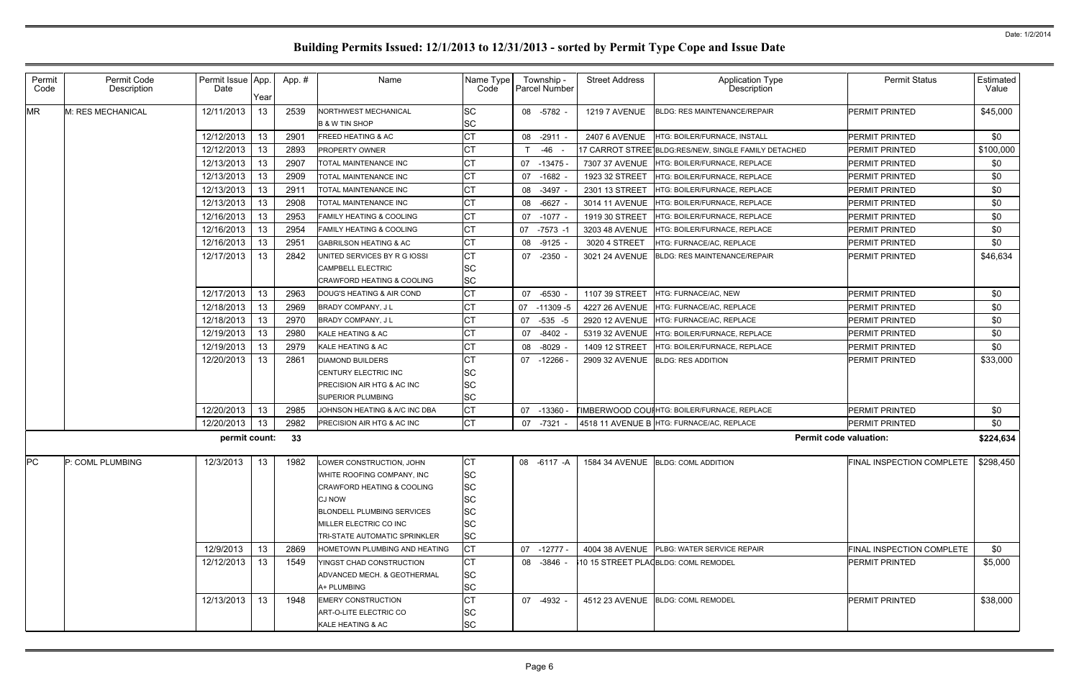| Permit<br>Code | Permit Code<br>Description | Permit Issue App.<br>Date | Year | App.# | Name                                                                                                                                                                                           | Name Type<br>Code                                                                  | Township -<br><b>Parcel Number</b> | <b>Street Address</b> | Application Type<br>Description                      | <b>Permit Status</b>                  | Estimated<br>Value |
|----------------|----------------------------|---------------------------|------|-------|------------------------------------------------------------------------------------------------------------------------------------------------------------------------------------------------|------------------------------------------------------------------------------------|------------------------------------|-----------------------|------------------------------------------------------|---------------------------------------|--------------------|
| <b>MR</b>      | M: RES MECHANICAL          | 12/11/2013                | 13   | 2539  | NORTHWEST MECHANICAL<br><b>B &amp; W TIN SHOP</b>                                                                                                                                              | lsc<br><b>SC</b>                                                                   | 08 -5782 -                         | <b>1219 7 AVENUE</b>  | <b>BLDG: RES MAINTENANCE/REPAIR</b>                  | <b>PERMIT PRINTED</b>                 | \$45,000           |
|                |                            | 12/12/2013                | 13   | 2901  | <b>FREED HEATING &amp; AC</b>                                                                                                                                                                  | <b>CT</b>                                                                          | 08 -2911 -                         | <b>2407 6 AVENUE</b>  | HTG: BOILER/FURNACE, INSTALL                         | <b>PERMIT PRINTED</b>                 | \$0                |
|                |                            | 12/12/2013                | 13   | 2893  | <b>PROPERTY OWNER</b>                                                                                                                                                                          | CT                                                                                 | -46                                |                       | 17 CARROT STREE BLDG:RES/NEW, SINGLE FAMILY DETACHED | <b>PERMIT PRINTED</b>                 | \$100,000          |
|                |                            | 12/13/2013                | 13   | 2907  | TOTAL MAINTENANCE INC                                                                                                                                                                          | <b>CT</b>                                                                          | 07<br>$-13475$                     | 7307 37 AVENUE        | HTG: BOILER/FURNACE, REPLACE                         | <b>PERMIT PRINTED</b>                 | \$0                |
|                |                            | 12/13/2013                | 13   | 2909  | TOTAL MAINTENANCE INC                                                                                                                                                                          | <b>CT</b>                                                                          | 07 -1682 -                         | 1923 32 STREET        | HTG: BOILER/FURNACE, REPLACE                         | <b>PERMIT PRINTED</b>                 | \$0                |
|                |                            | 12/13/2013                | 13   | 2911  | TOTAL MAINTENANCE INC                                                                                                                                                                          | СT                                                                                 | 08<br>$-3497 -$                    | 2301 13 STREET        | HTG: BOILER/FURNACE, REPLACE                         | <b>PERMIT PRINTED</b>                 | \$0                |
|                |                            | 12/13/2013                | 13.  | 2908  | TOTAL MAINTENANCE INC                                                                                                                                                                          | СT                                                                                 | 08 -6627 -                         | 3014 11 AVENUE        | HTG: BOILER/FURNACE, REPLACE                         | <b>PERMIT PRINTED</b>                 | \$0                |
|                |                            | 12/16/2013                | 13   | 2953  | <b>FAMILY HEATING &amp; COOLING</b>                                                                                                                                                            | <b>CT</b>                                                                          | 07 -1077 -                         | 1919 30 STREET        | HTG: BOILER/FURNACE, REPLACE                         | <b>PERMIT PRINTED</b>                 | \$0                |
|                |                            | 12/16/2013                | 13.  | 2954  | <b>FAMILY HEATING &amp; COOLING</b>                                                                                                                                                            | <b>CT</b>                                                                          | 07<br>-7573 -1                     | 3203 48 AVENUE        | HTG: BOILER/FURNACE, REPLACE                         | <b>PERMIT PRINTED</b>                 | \$0                |
|                |                            | 12/16/2013                | 13   | 2951  | <b>GABRILSON HEATING &amp; AC</b>                                                                                                                                                              | <b>CT</b>                                                                          | $-9125 -$<br>08                    | 3020 4 STREET         | HTG: FURNACE/AC, REPLACE                             | <b>PERMIT PRINTED</b>                 | \$0                |
|                |                            | 12/17/2013                | 13   | 2842  | UNITED SERVICES BY R G IOSSI                                                                                                                                                                   | <b>CT</b>                                                                          | 07 -2350 -                         | 3021 24 AVENUE        | <b>BLDG: RES MAINTENANCE/REPAIR</b>                  | <b>PERMIT PRINTED</b>                 | \$46,634           |
|                |                            |                           |      |       | <b>CAMPBELL ELECTRIC</b><br><b>CRAWFORD HEATING &amp; COOLING</b>                                                                                                                              | lSC<br><b>SC</b>                                                                   |                                    |                       |                                                      |                                       |                    |
|                |                            | 12/17/2013                | 13   | 2963  | DOUG'S HEATING & AIR COND                                                                                                                                                                      | СT                                                                                 | 07 -6530                           | 1107 39 STREET        | HTG: FURNACE/AC, NEW                                 | <b>PERMIT PRINTED</b>                 | \$0                |
|                |                            | 12/18/2013                | 13   | 2969  | BRADY COMPANY, J L                                                                                                                                                                             | СT                                                                                 | 07<br>-11309 -5                    | 4227 26 AVENUE        | HTG: FURNACE/AC, REPLACE                             | <b>PERMIT PRINTED</b>                 | \$0                |
|                |                            | 12/18/2013                | 13   | 2970  | BRADY COMPANY, J L                                                                                                                                                                             | <b>CT</b>                                                                          | 07<br>-535 -5                      | 2920 12 AVENUE        | HTG: FURNACE/AC, REPLACE                             | <b>PERMIT PRINTED</b>                 | \$0                |
|                |                            | 12/19/2013                | 13   | 2980  | KALE HEATING & AC                                                                                                                                                                              | CT                                                                                 | $-8402 -$<br>07                    |                       | 5319 32 AVENUE HTG: BOILER/FURNACE, REPLACE          | PERMIT PRINTED                        | \$0                |
|                |                            | 12/19/2013                | 13   | 2979  | KALE HEATING & AC                                                                                                                                                                              | <b>CT</b>                                                                          | $-8029$<br>08                      | 1409 12 STREET        | HTG: BOILER/FURNACE, REPLACE                         | <b>PERMIT PRINTED</b>                 | \$0                |
|                |                            | 12/20/2013                | 13   | 2861  | <b>DIAMOND BUILDERS</b>                                                                                                                                                                        | CT                                                                                 | 07<br>-12266 -                     |                       | 2909 32 AVENUE BLDG: RES ADDITION                    | <b>PERMIT PRINTED</b>                 | \$33,000           |
|                |                            |                           |      |       | CENTURY ELECTRIC INC                                                                                                                                                                           | lSС                                                                                |                                    |                       |                                                      |                                       |                    |
|                |                            |                           |      |       | PRECISION AIR HTG & AC INC                                                                                                                                                                     | SC                                                                                 |                                    |                       |                                                      |                                       |                    |
|                |                            |                           |      |       | SUPERIOR PLUMBING                                                                                                                                                                              | <b>SC</b>                                                                          |                                    |                       |                                                      |                                       |                    |
|                |                            | 12/20/2013                | 13   | 2985  | JOHNSON HEATING & A/C INC DBA                                                                                                                                                                  | <b>CT</b>                                                                          | 07<br>-13360 -                     |                       | <b>TIMBERWOOD COUIHTG: BOILER/FURNACE, REPLACE</b>   | <b>PERMIT PRINTED</b>                 | \$0                |
|                |                            | 12/20/2013                | 13   | 2982  | PRECISION AIR HTG & AC INC                                                                                                                                                                     | <b>CT</b>                                                                          | 07 -7321 -                         |                       | 4518 11 AVENUE B HTG: FURNACE/AC, REPLACE            | <b>PERMIT PRINTED</b>                 | \$0                |
|                |                            | permit count:             |      | - 33  |                                                                                                                                                                                                |                                                                                    |                                    |                       |                                                      | <b>Permit code valuation:</b>         | \$224,634          |
| PC             | P: COML PLUMBING           | 12/3/2013                 | 13   | 1982  | LOWER CONSTRUCTION, JOHN<br>WHITE ROOFING COMPANY, INC<br>CRAWFORD HEATING & COOLING<br>CJ NOW<br><b>BLONDELL PLUMBING SERVICES</b><br>MILLER ELECTRIC CO INC<br>TRI-STATE AUTOMATIC SPRINKLER | <b>ICT</b><br><b>SC</b><br><b>SC</b><br><b>SC</b><br>lSС<br><b>SC</b><br><b>SC</b> | 08 -6117 -A                        |                       | 1584 34 AVENUE BLDG: COML ADDITION                   | FINAL INSPECTION COMPLETE   \$298,450 |                    |
|                |                            | 12/9/2013                 | 13   | 2869  | <b>HOMETOWN PLUMBING AND HEATING</b>                                                                                                                                                           | <b>CT</b>                                                                          | 07 -12777 -                        |                       | 4004 38 AVENUE PLBG: WATER SERVICE REPAIR            | FINAL INSPECTION COMPLETE             | \$0                |
|                |                            | 12/12/2013                | 13   | 1549  | YINGST CHAD CONSTRUCTION<br>ADVANCED MECH. & GEOTHERMAL<br>A+ PLUMBING                                                                                                                         | СT<br><b>SC</b><br><b>SC</b>                                                       | 08 -3846 -                         |                       | 10 15 STREET PLA(BLDG: COML REMODEL                  | <b>PERMIT PRINTED</b>                 | \$5,000            |
|                |                            | 12/13/2013                | 13   | 1948  | <b>EMERY CONSTRUCTION</b><br>ART-O-LITE ELECTRIC CO<br>KALE HEATING & AC                                                                                                                       | <b>CT</b><br>SС<br>SС                                                              | 07 -4932 -                         |                       | 4512 23 AVENUE BLDG: COML REMODEL                    | <b>PERMIT PRINTED</b>                 | \$38,000           |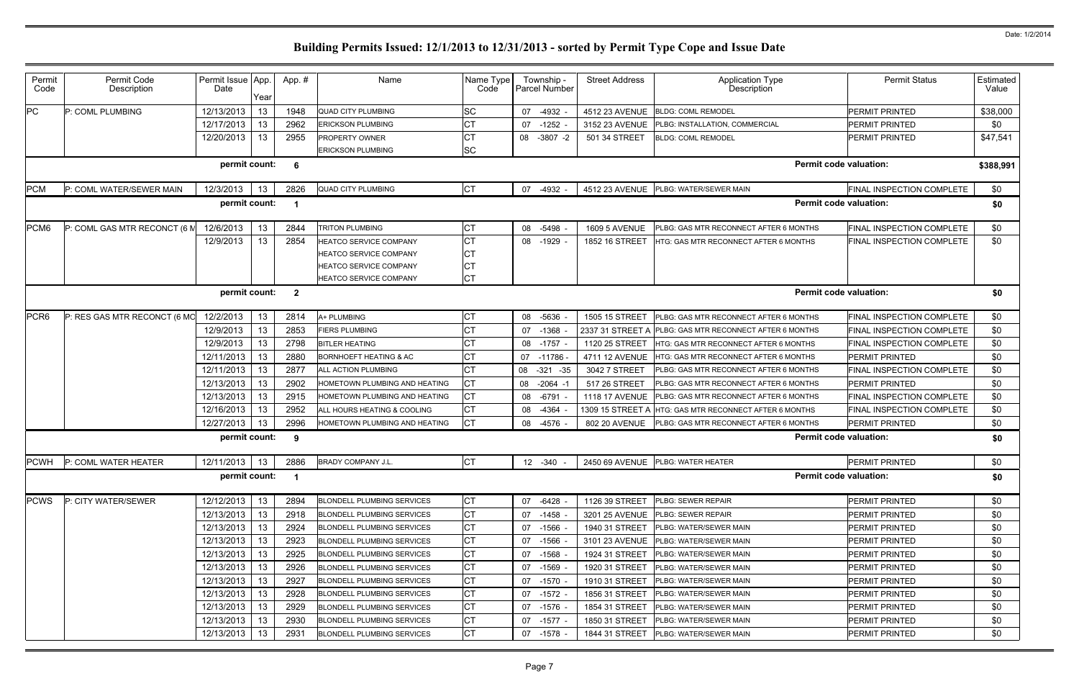| Estimated<br>Value                      |
|-----------------------------------------|
| \$38,000                                |
| \$0                                     |
| \$47,541                                |
| \$388,991                               |
| FINAL INSPECTION COMPLETE<br>\$0        |
| \$0                                     |
| \$0<br><b>FINAL INSPECTION COMPLETE</b> |
| \$0<br><b>FINAL INSPECTION COMPLETE</b> |
| \$0                                     |
| \$0<br><b>FINAL INSPECTION COMPLETE</b> |
| \$0<br><b>FINAL INSPECTION COMPLETE</b> |
| \$0<br>FINAL INSPECTION COMPLETE        |
| \$0                                     |
| \$0<br><b>FINAL INSPECTION COMPLETE</b> |
| \$0                                     |
| \$0<br><b>FINAL INSPECTION COMPLETE</b> |
| <b>FINAL INSPECTION COMPLETE</b><br>\$0 |
| \$0                                     |
|                                         |
| \$0                                     |
| \$0                                     |
| \$0                                     |
| \$0                                     |
| \$0                                     |
| \$0                                     |
| \$0                                     |
| \$0                                     |
| \$0                                     |
| \$0                                     |
| \$0                                     |
| \$0                                     |
| \$0                                     |
|                                         |

| Permit<br>Code | Permit Code<br>Description   | Permit Issue App.<br>Date | Year | App. #               | Name                              | Name Type<br>Code | Township -<br><b>Parcel Number</b> | <b>Street Address</b> | <b>Application Type</b><br>Description | <b>Permit Status</b>             | Estimated<br>Value |
|----------------|------------------------------|---------------------------|------|----------------------|-----------------------------------|-------------------|------------------------------------|-----------------------|----------------------------------------|----------------------------------|--------------------|
| PC             | P: COML PLUMBING             | 12/13/2013                | 13   | 1948                 | <b>QUAD CITY PLUMBING</b>         | <b>SC</b>         | 07 -4932                           | 4512 23 AVENUE        | <b>BLDG: COML REMODEL</b>              | PERMIT PRINTED                   | \$38,000           |
|                |                              | 12/17/2013                | 13   | 2962                 | <b>ERICKSON PLUMBING</b>          | <b>CT</b>         | 07 -1252                           | 3152 23 AVENUE        | PLBG: INSTALLATION, COMMERCIAL         | <b>PERMIT PRINTED</b>            | \$0                |
|                |                              | 12/20/2013                | 13   | 2955                 | PROPERTY OWNER                    | <b>CT</b>         | 08 -3807 -2                        | 501 34 STREET         | <b>BLDG: COML REMODEL</b>              | <b>PERMIT PRINTED</b>            | \$47,541           |
|                |                              |                           |      |                      | <b>ERICKSON PLUMBING</b>          | <b>SC</b>         |                                    |                       |                                        |                                  |                    |
|                |                              | permit count:             |      | 6                    |                                   |                   |                                    |                       |                                        | <b>Permit code valuation:</b>    | \$388,991          |
| <b>PCM</b>     | P: COML WATER/SEWER MAIN     | 12/3/2013                 | 13   | 2826                 | <b>QUAD CITY PLUMBING</b>         | СT                | 07 -4932                           | 4512 23 AVENUE        | PLBG: WATER/SEWER MAIN                 | FINAL INSPECTION COMPLETE        | \$0                |
|                |                              | permit count:             |      |                      |                                   |                   |                                    |                       |                                        | <b>Permit code valuation:</b>    | \$0                |
| PCM6           | P: COML GAS MTR RECONCT (6 M | 12/6/2013                 | 13   | 2844                 | <b>TRITON PLUMBING</b>            | <b>CT</b>         | $-5498$<br>08                      | <b>1609 5 AVENUE</b>  | PLBG: GAS MTR RECONNECT AFTER 6 MONTHS | FINAL INSPECTION COMPLETE        | \$0                |
|                |                              | 12/9/2013                 | 13   | 2854                 | HEATCO SERVICE COMPANY            | <b>CT</b>         | 08 -1929 -                         | 1852 16 STREET        | HTG: GAS MTR RECONNECT AFTER 6 MONTHS  | FINAL INSPECTION COMPLETE        | \$0                |
|                |                              |                           |      |                      | <b>HEATCO SERVICE COMPANY</b>     | <b>CT</b>         |                                    |                       |                                        |                                  |                    |
|                |                              |                           |      |                      | <b>HEATCO SERVICE COMPANY</b>     | <b>CT</b>         |                                    |                       |                                        |                                  |                    |
|                |                              |                           |      |                      | HEATCO SERVICE COMPANY            | <b>CT</b>         |                                    |                       |                                        |                                  |                    |
|                |                              | permit count:             |      | $\mathbf{2}$         |                                   |                   |                                    |                       |                                        | <b>Permit code valuation:</b>    | \$0                |
| PCR6           | P: RES GAS MTR RECONCT (6 MC | 12/2/2013                 | 13   | 2814                 | A+ PLUMBING                       | СT                | 08 -5636                           | 1505 15 STREET        | PLBG: GAS MTR RECONNECT AFTER 6 MONTHS | <b>FINAL INSPECTION COMPLETE</b> | \$0                |
|                |                              | 12/9/2013                 | 13   | 2853                 | <b>FIERS PLUMBING</b>             | СT                | 07 -1368                           | 2337 31 STREET A      | PLBG: GAS MTR RECONNECT AFTER 6 MONTHS | <b>FINAL INSPECTION COMPLETE</b> | \$0                |
|                |                              | 12/9/2013                 | 13   | 2798                 | <b>BITLER HEATING</b>             | <b>CT</b>         | 08 -1757                           | 1120 25 STREET        | HTG: GAS MTR RECONNECT AFTER 6 MONTHS  | FINAL INSPECTION COMPLETE        | \$0                |
|                |                              | 12/11/2013                | 13   | 2880                 | <b>BORNHOEFT HEATING &amp; AC</b> | СT                | 07 -11786                          | 4711 12 AVENUE        | HTG: GAS MTR RECONNECT AFTER 6 MONTHS  | <b>PERMIT PRINTED</b>            | \$0                |
|                |                              | 12/11/2013                | 13   | 2877                 | ALL ACTION PLUMBING               | СT                | 08<br>$-321 - 35$                  | 3042 7 STREET         | PLBG: GAS MTR RECONNECT AFTER 6 MONTHS | FINAL INSPECTION COMPLETE        | \$0                |
|                |                              | 12/13/2013                | 13   | 2902                 | HOMETOWN PLUMBING AND HEATING     | СT                | 08 -2064 -1                        | 517 26 STREET         | PLBG: GAS MTR RECONNECT AFTER 6 MONTHS | <b>PERMIT PRINTED</b>            | \$0                |
|                |                              | 12/13/2013                | 13   | 2915                 | HOMETOWN PLUMBING AND HEATING     | СT                | -6791<br>08                        | 1118 17 AVENUE        | PLBG: GAS MTR RECONNECT AFTER 6 MONTHS | FINAL INSPECTION COMPLETE        | \$0                |
|                |                              | 12/16/2013                | 13   | 2952                 | ALL HOURS HEATING & COOLING       | СT                | 08 -4364                           | 1309 15 STREET A      | HTG: GAS MTR RECONNECT AFTER 6 MONTHS  | FINAL INSPECTION COMPLETE        | \$0                |
|                |                              | 12/27/2013                | 13   | 2996                 | HOMETOWN PLUMBING AND HEATING     | <b>CT</b>         | 08 -4576                           | 802 20 AVENUE         | PLBG: GAS MTR RECONNECT AFTER 6 MONTHS | <b>PERMIT PRINTED</b>            | \$0                |
|                |                              | permit count:             |      | -9                   |                                   |                   |                                    |                       |                                        | <b>Permit code valuation:</b>    | \$0                |
|                | PCWH P: COML WATER HEATER    | 12/11/2013                | 13   | 2886                 | <b>BRADY COMPANY J.L</b>          | IСT               | 12 -340 -                          |                       | 2450 69 AVENUE PLBG: WATER HEATER      | <b>PERMIT PRINTED</b>            | \$0                |
|                |                              | permit count:             |      | $\blacktriangleleft$ |                                   |                   |                                    |                       |                                        | <b>Permit code valuation:</b>    | \$0                |
| <b>PCWS</b>    | P: CITY WATER/SEWER          | 12/12/2013                | 13   | 2894                 | <b>BLONDELL PLUMBING SERVICES</b> | СT                | 07 -6428 -                         | 1126 39 STREET        | <b>PLBG: SEWER REPAIR</b>              | <b>PERMIT PRINTED</b>            | \$0                |
|                |                              | 12/13/2013                | 13   | 2918                 | <b>BLONDELL PLUMBING SERVICES</b> |                   | 07 -1458 -                         | 3201 25 AVENUE        | <b>PLBG: SEWER REPAIR</b>              | <b>PERMIT PRINTED</b>            | \$0                |
|                |                              | 12/13/2013                | 13   | 2924                 | <b>BLONDELL PLUMBING SERVICES</b> | СT                | 07 -1566                           | 1940 31 STREET        | PLBG: WATER/SEWER MAIN                 | <b>PERMIT PRINTED</b>            | \$0                |
|                |                              | 12/13/2013                | 13   | 2923                 | <b>BLONDELL PLUMBING SERVICES</b> | СT                | 07 -1566                           | 3101 23 AVENUE        | <b>PLBG: WATER/SEWER MAIN</b>          | <b>PERMIT PRINTED</b>            | \$0                |
|                |                              | 12/13/2013                | 13   | 2925                 | <b>BLONDELL PLUMBING SERVICES</b> | СT                | 07 -1568 -                         | 1924 31 STREET        | PLBG: WATER/SEWER MAIN                 | <b>PERMIT PRINTED</b>            | \$0                |
|                |                              | 12/13/2013                | 13   | 2926                 | <b>BLONDELL PLUMBING SERVICES</b> | СT                | 07 -1569                           | 1920 31 STREET        | PLBG: WATER/SEWER MAIN                 | <b>PERMIT PRINTED</b>            | \$0                |
|                |                              | 12/13/2013                | 13   | 2927                 | <b>BLONDELL PLUMBING SERVICES</b> | <b>CT</b>         | $07 - 1570$                        | 1910 31 STREET        | PLBG: WATER/SEWER MAIN                 | <b>PERMIT PRINTED</b>            | \$0                |
|                |                              | 12/13/2013                | 13   | 2928                 | <b>BLONDELL PLUMBING SERVICES</b> | СT                | 07 -1572 -                         | 1856 31 STREET        | PLBG: WATER/SEWER MAIN                 | <b>PERMIT PRINTED</b>            | \$0                |
|                |                              | 12/13/2013                | 13   | 2929                 | <b>BLONDELL PLUMBING SERVICES</b> | СT                | 07 -1576 -                         | 1854 31 STREET        | PLBG: WATER/SEWER MAIN                 | <b>PERMIT PRINTED</b>            | \$0                |
|                |                              | 12/13/2013                | 13   | 2930                 | <b>BLONDELL PLUMBING SERVICES</b> | СT                | 07 -1577 -                         | 1850 31 STREET        | PLBG: WATER/SEWER MAIN                 | <b>PERMIT PRINTED</b>            | \$0                |
|                |                              | 12/13/2013                | 13   | 2931                 | <b>BLONDELL PLUMBING SERVICES</b> | СT                | 07 -1578 -                         | 1844 31 STREET        | PLBG: WATER/SEWER MAIN                 | <b>PERMIT PRINTED</b>            | \$0                |
|                |                              |                           |      |                      |                                   |                   |                                    |                       |                                        |                                  |                    |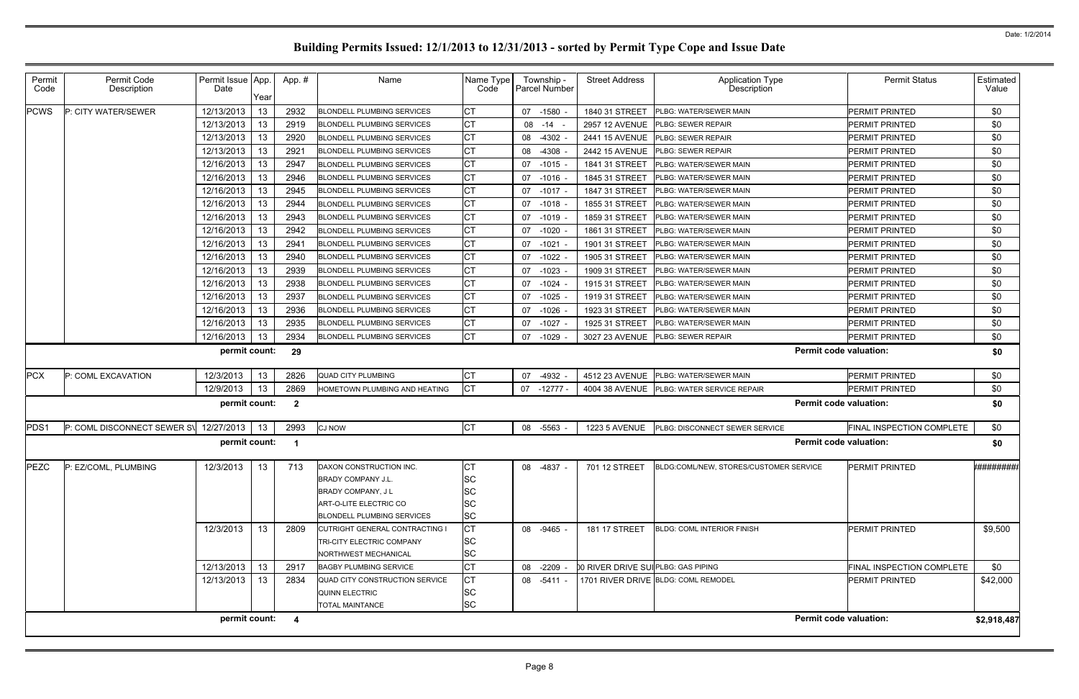| Permit<br>Code                                 | Permit Code<br>Description             | Permit Issue App.<br>Date | Year | App.#                   | Name                                                 | Name Type<br>Code    | Township -<br><b>Parcel Number</b> | <b>Street Address</b>               | <b>Application Type</b><br><b>Description</b>                   | <b>Permit Status</b>          | Estimated<br>Value    |
|------------------------------------------------|----------------------------------------|---------------------------|------|-------------------------|------------------------------------------------------|----------------------|------------------------------------|-------------------------------------|-----------------------------------------------------------------|-------------------------------|-----------------------|
| <b>PCWS</b>                                    | P: CITY WATER/SEWER                    | 12/13/2013                | 13   | 2932                    | <b>BLONDELL PLUMBING SERVICES</b>                    |                      | 07 -1580                           | 1840 31 STREET                      | PLBG: WATER/SEWER MAIN                                          | <b>PERMIT PRINTED</b>         | \$0                   |
|                                                |                                        | 12/13/2013                | 13   | 2919                    | <b>BLONDELL PLUMBING SERVICES</b>                    | IСT                  | 08 - 14 -                          | <b>2957 12 AVENUE</b>               | <b>PLBG: SEWER REPAIR</b>                                       | <b>PERMIT PRINTED</b>         | \$0                   |
|                                                |                                        | 12/13/2013                | 13   | 2920                    | <b>BLONDELL PLUMBING SERVICES</b>                    | СT                   | 08 -4302 -                         | 2441 15 AVENUE                      | <b>PLBG: SEWER REPAIR</b>                                       | <b>PERMIT PRINTED</b>         | \$0                   |
|                                                |                                        | 12/13/2013                | 13   | 2921                    | <b>BLONDELL PLUMBING SERVICES</b>                    |                      | 08 -4308                           | 2442 15 AVENUE                      | <b>PLBG: SEWER REPAIR</b>                                       | <b>PERMIT PRINTED</b>         | \$0                   |
|                                                |                                        | 12/16/2013                | 13   | 2947                    | <b>BLONDELL PLUMBING SERVICES</b>                    | СT                   | $-1015 -$<br>07                    | 1841 31 STREET                      | PLBG: WATER/SEWER MAIN                                          | <b>PERMIT PRINTED</b>         | \$0                   |
|                                                |                                        | 12/16/2013                | 13   | 2946                    | <b>BLONDELL PLUMBING SERVICES</b>                    |                      | $-1016$ -<br>07                    | 1845 31 STREET                      | PLBG: WATER/SEWER MAIN                                          | <b>PERMIT PRINTED</b>         | \$0                   |
|                                                |                                        | 12/16/2013                | 13   | 2945                    | <b>BLONDELL PLUMBING SERVICES</b>                    | СT                   | $-1017 -$<br>07                    | 1847 31 STREET                      | <b>PLBG: WATER/SEWER MAIN</b>                                   | <b>PERMIT PRINTED</b>         | \$0                   |
|                                                |                                        | 12/16/2013                | 13   | 2944                    | <b>BLONDELL PLUMBING SERVICES</b>                    |                      | 07<br>$-1018$                      | 1855 31 STREET                      | PLBG: WATER/SEWER MAIN                                          | <b>PERMIT PRINTED</b>         | \$0                   |
|                                                |                                        | 12/16/2013                | 13   | 2943                    | <b>BLONDELL PLUMBING SERVICES</b>                    |                      | 07<br>$-1019$                      | 1859 31 STREET                      | PLBG: WATER/SEWER MAIN                                          | <b>PERMIT PRINTED</b>         | \$0                   |
|                                                |                                        | 12/16/2013                | 13   | 2942                    | <b>BLONDELL PLUMBING SERVICES</b>                    | СT                   | 07<br>$-1020$                      | 1861 31 STREET                      | PLBG: WATER/SEWER MAIN                                          | <b>PERMIT PRINTED</b>         | \$0                   |
|                                                |                                        | 12/16/2013                | 13   | 2941                    | <b>BLONDELL PLUMBING SERVICES</b>                    | СT                   | 07<br>$-1021 -$                    | 1901 31 STREET                      | PLBG: WATER/SEWER MAIN                                          | <b>PERMIT PRINTED</b>         | \$0                   |
|                                                |                                        | 12/16/2013                | 13   | 2940                    | <b>BLONDELL PLUMBING SERVICES</b>                    | <b>CT</b>            | $-1022$<br>07                      | 1905 31 STREET                      | PLBG: WATER/SEWER MAIN                                          | <b>PERMIT PRINTED</b>         | \$0                   |
|                                                |                                        | 12/16/2013                | 13   | 2939                    | <b>BLONDELL PLUMBING SERVICES</b>                    | <b>CT</b>            | 07<br>$-1023$                      | 1909 31 STREET                      | PLBG: WATER/SEWER MAIN                                          | <b>PERMIT PRINTED</b>         | \$0                   |
|                                                |                                        | 12/16/2013                | 13   | 2938                    | <b>BLONDELL PLUMBING SERVICES</b>                    | СT                   | 07 -1024                           | 1915 31 STREET                      | PLBG: WATER/SEWER MAIN                                          | <b>PERMIT PRINTED</b>         | \$0                   |
|                                                |                                        | 12/16/2013                | 13   | 2937                    | <b>BLONDELL PLUMBING SERVICES</b>                    | СT                   | $-1025$ .<br>07                    | 1919 31 STREET                      | PLBG: WATER/SEWER MAIN                                          | <b>PERMIT PRINTED</b>         | \$0                   |
|                                                |                                        | 12/16/2013                | 13   | 2936                    | <b>BLONDELL PLUMBING SERVICES</b>                    |                      | 07 -1026                           | 1923 31 STREET                      | <b>PLBG: WATER/SEWER MAIN</b>                                   | <b>PERMIT PRINTED</b>         | \$0                   |
|                                                |                                        | 12/16/2013                | 13   | 2935                    | <b>BLONDELL PLUMBING SERVICES</b>                    |                      | $-1027 -$<br>07                    | 1925 31 STREET                      | PLBG: WATER/SEWER MAIN                                          | <b>PERMIT PRINTED</b>         | \$0                   |
|                                                |                                        | 12/16/2013                | 13   | 2934                    | <b>BLONDELL PLUMBING SERVICES</b>                    | IСТ                  | $-1029$<br>07                      | 3027 23 AVENUE                      | <b>PLBG: SEWER REPAIR</b>                                       | <b>PERMIT PRINTED</b>         | \$0                   |
|                                                |                                        | permit count:             |      | 29                      |                                                      |                      |                                    |                                     |                                                                 | <b>Permit code valuation:</b> | \$0                   |
| <b>PCX</b>                                     | P: COML EXCAVATION                     | 12/3/2013                 | 13   | 2826                    | <b>QUAD CITY PLUMBING</b>                            | <b>CT</b>            | -4932<br>07                        | 4512 23 AVENUE                      | <b>PLBG: WATER/SEWER MAIN</b>                                   | <b>PERMIT PRINTED</b>         | \$0                   |
|                                                |                                        | 12/9/2013                 | 13   | 2869                    | HOMETOWN PLUMBING AND HEATING                        | <b>CT</b>            | $-12777-$<br>07                    |                                     | 4004 38 AVENUE   PLBG: WATER SERVICE REPAIR                     | <b>PERMIT PRINTED</b>         | \$0                   |
| permit count:<br>$\overline{2}$                |                                        |                           |      |                         |                                                      |                      |                                    |                                     |                                                                 | <b>Permit code valuation:</b> | \$0                   |
| PDS1                                           | P: COML DISCONNECT SEWER S\ 12/27/2013 |                           | 13   | 2993                    | <b>CJ NOW</b>                                        | Iст                  | -5563<br>08                        | <b>1223 5 AVENUE</b>                | PLBG: DISCONNECT SEWER SERVICE                                  | FINAL INSPECTION COMPLETE     | \$0                   |
| permit count:<br><b>Permit code valuation:</b> |                                        |                           |      |                         |                                                      |                      |                                    |                                     | \$0                                                             |                               |                       |
|                                                | PEZC P: EZ/COML, PLUMBING              | 12/3/2013 13              |      | 713                     | DAXON CONSTRUCTION INC.<br><b>BRADY COMPANY J.L.</b> | $\sim$ $\sim$<br>lSС |                                    |                                     | 08 -4837 - 701 12 STREET BLDG:COML/NEW, STORES/CUSTOMER SERVICE | PERMIT PRINTED                | <b>*#############</b> |
|                                                |                                        |                           |      |                         | BRADY COMPANY, JL                                    | lSС                  |                                    |                                     |                                                                 |                               |                       |
|                                                |                                        |                           |      |                         | ART-O-LITE ELECTRIC CO                               | lSС                  |                                    |                                     |                                                                 |                               |                       |
|                                                |                                        |                           |      |                         | <b>BLONDELL PLUMBING SERVICES</b>                    | <b>SC</b>            |                                    |                                     |                                                                 |                               |                       |
|                                                |                                        | 12/3/2013                 | 13   | 2809                    | CUTRIGHT GENERAL CONTRACTING I                       | Iст                  | 08 -9465 -                         | 181 17 STREET                       | <b>BLDG: COML INTERIOR FINISH</b>                               | <b>PERMIT PRINTED</b>         | \$9,500               |
|                                                |                                        |                           |      |                         | TRI-CITY ELECTRIC COMPANY                            | <b>SC</b>            |                                    |                                     |                                                                 |                               |                       |
|                                                |                                        |                           |      |                         | NORTHWEST MECHANICAL                                 | <b>SC</b>            |                                    |                                     |                                                                 |                               |                       |
|                                                |                                        | 12/13/2013                | 13   | 2917                    | <b>BAGBY PLUMBING SERVICE</b>                        | <b>CT</b>            | 08 -2209 -                         | 00 RIVER DRIVE SUI PLBG: GAS PIPING |                                                                 | FINAL INSPECTION COMPLETE     | \$0                   |
|                                                |                                        | 12/13/2013                | 13   | 2834                    | QUAD CITY CONSTRUCTION SERVICE                       | IСТ                  | 08 -5411 -                         |                                     | 1701 RIVER DRIVE BLDG: COML REMODEL                             | PERMIT PRINTED                | \$42,000              |
|                                                |                                        |                           |      |                         | QUINN ELECTRIC                                       | <b>SC</b>            |                                    |                                     |                                                                 |                               |                       |
|                                                |                                        |                           |      |                         | <b>TOTAL MAINTANCE</b>                               | <b>SC</b>            |                                    |                                     |                                                                 |                               |                       |
|                                                |                                        | permit count:             |      | $\overline{\mathbf{4}}$ |                                                      |                      |                                    |                                     |                                                                 | <b>Permit code valuation:</b> | \$2,918,487           |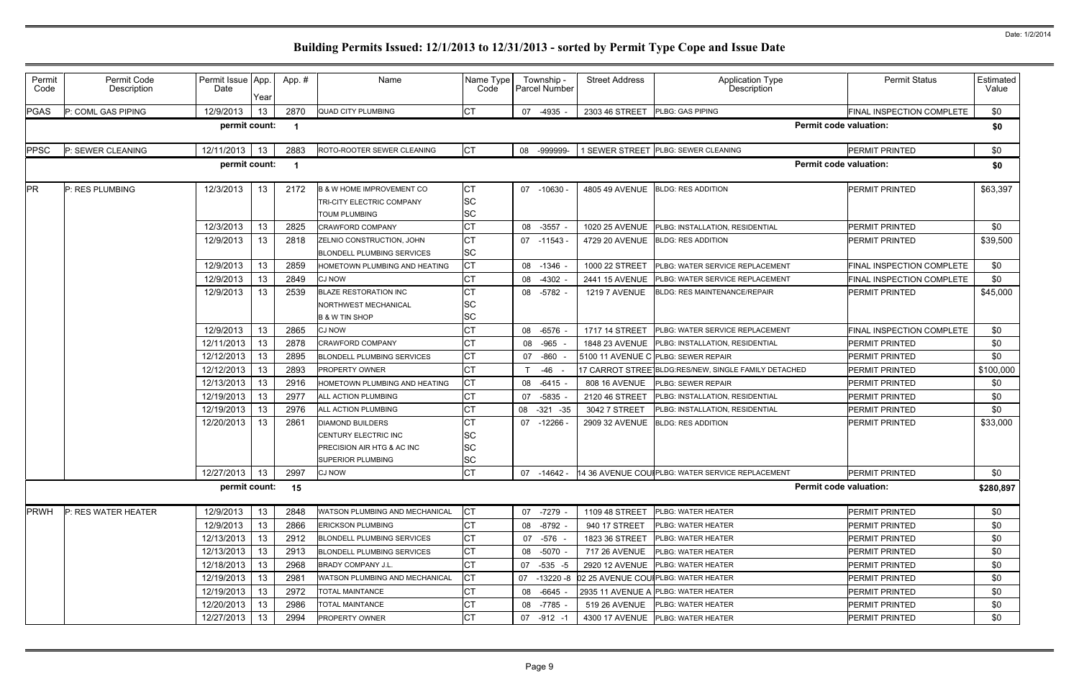| Permit<br>Code                                       | Permit Code<br>Description | Permit Issue App.<br>Date | Year | App.# | Name                                                                                                      | Name Type<br>Code                   | Township -<br><b>Parcel Number</b> | <b>Street Address</b> | Application Type<br>Description                               | <b>Permit Status</b>             | Estimated<br>Value |
|------------------------------------------------------|----------------------------|---------------------------|------|-------|-----------------------------------------------------------------------------------------------------------|-------------------------------------|------------------------------------|-----------------------|---------------------------------------------------------------|----------------------------------|--------------------|
| <b>PGAS</b>                                          | P: COML GAS PIPING         | 12/9/2013                 | 13   | 2870  | <b>QUAD CITY PLUMBING</b>                                                                                 | <b>CT</b>                           | -4935 -<br>07                      | 2303 46 STREET        | PLBG: GAS PIPING                                              | FINAL INSPECTION COMPLETE        | \$0                |
| permit count:<br><b>Permit code valuation:</b><br>-1 |                            |                           |      |       |                                                                                                           |                                     |                                    |                       |                                                               |                                  | \$0                |
| <b>PPSC</b>                                          | P: SEWER CLEANING          | 12/11/2013                | 13   | 2883  | ROTO-ROOTER SEWER CLEANING                                                                                | <b>CT</b>                           | 08 -999999-                        |                       | 1 SEWER STREET PLBG: SEWER CLEANING                           | PERMIT PRINTED                   | \$0                |
|                                                      |                            | permit count:             |      | -1    |                                                                                                           |                                     |                                    |                       |                                                               | <b>Permit code valuation:</b>    | \$0                |
| <b>PR</b>                                            | P: RES PLUMBING            | 12/3/2013                 | 13   | 2172  | <b>B &amp; W HOME IMPROVEMENT CO</b><br><b>TRI-CITY ELECTRIC COMPANY</b><br><b>TOUM PLUMBING</b>          | <b>CT</b><br><b>SC</b><br><b>SC</b> | 07<br>-10630 -                     | 4805 49 AVENUE        | <b>BLDG: RES ADDITION</b>                                     | PERMIT PRINTED                   | \$63,397           |
|                                                      |                            | 12/3/2013                 | 13   | 2825  | <b>CRAWFORD COMPANY</b>                                                                                   | <b>CT</b>                           | $-3557$<br>08                      | 1020 25 AVENUE        | PLBG: INSTALLATION, RESIDENTIAL                               | PERMIT PRINTED                   | \$0                |
|                                                      |                            | 12/9/2013                 | 13   | 2818  | ZELNIO CONSTRUCTION, JOHN<br><b>BLONDELL PLUMBING SERVICES</b>                                            | СT<br>SC                            | 07 -11543 -                        | 4729 20 AVENUE        | <b>BLDG: RES ADDITION</b>                                     | PERMIT PRINTED                   | \$39,500           |
|                                                      |                            | 12/9/2013                 | 13   | 2859  | HOMETOWN PLUMBING AND HEATING                                                                             | <b>CT</b>                           | $-1346$ -<br>08                    | 1000 22 STREET        | PLBG: WATER SERVICE REPLACEMENT                               | FINAL INSPECTION COMPLETE        | \$0                |
|                                                      |                            | 12/9/2013                 | 13   | 2849  | <b>CJ NOW</b>                                                                                             | <b>CT</b>                           | $-4302$<br>08                      | 2441 15 AVENUE        | PLBG: WATER SERVICE REPLACEMENT                               | FINAL INSPECTION COMPLETE        | \$0                |
|                                                      |                            | 12/9/2013                 | 13   | 2539  | <b>BLAZE RESTORATION INC</b><br>NORTHWEST MECHANICAL<br><b>B &amp; W TIN SHOP</b>                         | <b>CT</b><br>SC<br>SC               | 08 -5782 -                         | <b>1219 7 AVENUE</b>  | <b>BLDG: RES MAINTENANCE/REPAIR</b>                           | <b>PERMIT PRINTED</b>            | \$45,000           |
|                                                      |                            | 12/9/2013                 | 13   | 2865  | <b>CJ NOW</b>                                                                                             | СT                                  | -6576 -<br>08                      | 1717 14 STREET        | PLBG: WATER SERVICE REPLACEMENT                               | <b>FINAL INSPECTION COMPLETE</b> | \$0                |
|                                                      |                            | 12/11/2013                | 13   | 2878  | CRAWFORD COMPANY                                                                                          | СT                                  | $-965$<br>08                       | 1848 23 AVENUE        | PLBG: INSTALLATION, RESIDENTIAL                               | PERMIT PRINTED                   | \$0                |
|                                                      |                            | 12/12/2013                | 13   | 2895  | <b>BLONDELL PLUMBING SERVICES</b>                                                                         | СT                                  | $-860$<br>07                       |                       | 5100 11 AVENUE C PLBG: SEWER REPAIR                           | PERMIT PRINTED                   | \$0                |
|                                                      |                            | 12/12/2013                | 13   | 2893  | <b>PROPERTY OWNER</b>                                                                                     | <b>CT</b>                           | -46                                |                       | 17 CARROT STREE BLDG:RES/NEW, SINGLE FAMILY DETACHED          | PERMIT PRINTED                   | \$100,000          |
|                                                      |                            | 12/13/2013                | 13   | 2916  | <b>IOMETOWN PLUMBING AND HEATING</b>                                                                      | <b>CT</b>                           | -6415 -<br>08                      | 808 16 AVENUE         | PLBG: SEWER REPAIR                                            | PERMIT PRINTED                   | \$0                |
|                                                      |                            | 12/19/2013                | 13   | 2977  | <b>ALL ACTION PLUMBING</b>                                                                                | <b>CT</b>                           | $-5835$<br>07                      | 2120 46 STREET        | PLBG: INSTALLATION, RESIDENTIAL                               | PERMIT PRINTED                   | \$0                |
|                                                      |                            | 12/19/2013                | 13   | 2976  | ALL ACTION PLUMBING                                                                                       | <b>CT</b>                           | 08<br>$-321 - 35$                  | 3042 7 STREET         | PLBG: INSTALLATION, RESIDENTIAL                               | PERMIT PRINTED                   | \$0                |
|                                                      |                            | 12/20/2013                | 13   | 2861  | <b>DIAMOND BUILDERS</b><br>CENTURY ELECTRIC INC<br>PRECISION AIR HTG & AC INC<br><b>SUPERIOR PLUMBING</b> | СT<br>SC<br>SC<br><b>SC</b>         | -12266 -<br>07                     | 2909 32 AVENUE        | <b>BLDG: RES ADDITION</b>                                     | PERMIT PRINTED                   | \$33,000           |
|                                                      |                            | 12/27/2013                | 13   | 2997  | <b>CJ NOW</b>                                                                                             | <b>CT</b>                           |                                    |                       | 07 -14642 - 14 36 AVENUE COUI PLBG: WATER SERVICE REPLACEMENT | <b>PERMIT PRINTED</b>            | \$0                |
|                                                      |                            | permit count:             |      | 15    |                                                                                                           |                                     |                                    |                       |                                                               | <b>Permit code valuation:</b>    | \$280,897          |
| <b>PRWH</b>                                          | P: RES WATER HEATER        | 12/9/2013                 | 13   | 2848  | <b>WATSON PLUMBING AND MECHANICAL</b>                                                                     | <b>CT</b>                           | 07 -7279 -                         | 1109 48 STREET        | PLBG: WATER HEATER                                            | PERMIT PRINTED                   | \$0                |
|                                                      |                            | 12/9/2013                 | 13   | 2866  | <b>ERICKSON PLUMBING</b>                                                                                  | <b>CT</b>                           | 08 -8792 -                         | 940 17 STREET         | <b>PLBG: WATER HEATER</b>                                     | PERMIT PRINTED                   | \$0                |
|                                                      |                            | 12/13/2013                | 13   | 2912  | <b>BLONDELL PLUMBING SERVICES</b>                                                                         | <b>CT</b>                           | 07 -576 -                          | 1823 36 STREET        | PLBG: WATER HEATER                                            | PERMIT PRINTED                   | \$0                |
|                                                      |                            | 12/13/2013                | 13   | 2913  | <b>BLONDELL PLUMBING SERVICES</b>                                                                         | <b>CT</b>                           | 08 -5070 -                         | 717 26 AVENUE         | PLBG: WATER HEATER                                            | PERMIT PRINTED                   | \$0                |
|                                                      |                            | 12/18/2013                | 13   | 2968  | <b>BRADY COMPANY J.L.</b>                                                                                 | <b>CT</b>                           | 07 -535 -5                         |                       | 2920 12 AVENUE PLBG: WATER HEATER                             | PERMIT PRINTED                   | \$0                |
|                                                      |                            | 12/19/2013                | 13   | 2981  | WATSON PLUMBING AND MECHANICAL                                                                            | <b>CT</b>                           | 07<br>-13220 -8                    |                       | 02 25 AVENUE COUIPLBG: WATER HEATER                           | PERMIT PRINTED                   | \$0                |
|                                                      |                            | 12/19/2013                | 13   | 2972  | <b>TOTAL MAINTANCE</b>                                                                                    | <b>CT</b>                           | 08 -6645 -                         |                       | 2935 11 AVENUE A PLBG: WATER HEATER                           | PERMIT PRINTED                   | \$0                |
|                                                      |                            | 12/20/2013                | 13   | 2986  | <b>TOTAL MAINTANCE</b>                                                                                    | <b>CT</b>                           | 08 -7785 -                         | 519 26 AVENUE         | <b>PLBG: WATER HEATER</b>                                     | PERMIT PRINTED                   | \$0                |
|                                                      |                            | 12/27/2013                | 13   | 2994  | <b>PROPERTY OWNER</b>                                                                                     | СT                                  | 07 -912 -1                         |                       | 4300 17 AVENUE PLBG: WATER HEATER                             | PERMIT PRINTED                   | \$0                |